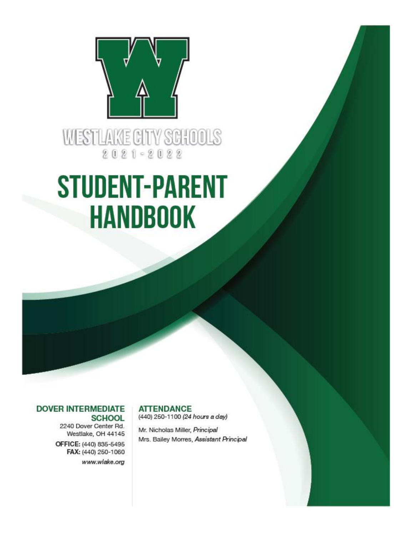

WESTLAKE CITY SCHOOLS  $2021 - 2022$ 

# **STUDENT-PARENT HANDBOOK**

# **DOVER INTERMEDIATE SCHOOL**

2240 Dover Center Rd. Westlake, OH 44145 OFFICE: (440) 835-5495 FAX: (440) 250-1060 www.wlake.org **ATTENDANCE** 

(440) 250-1100 (24 hours a day)

Mr. Nicholas Miller, Principal Mrs. Bailey Morres, Assistant Principal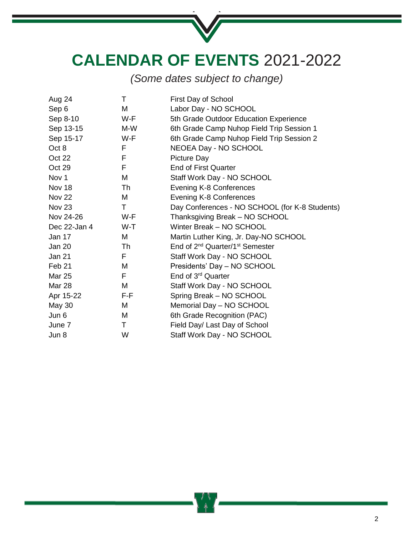

**CALENDAR OF EVENTS** 2021-2022

*(Some dates subject to change)*

| Aug 24            | т   | First Day of School                                     |
|-------------------|-----|---------------------------------------------------------|
| Sep 6             | M   | Labor Day - NO SCHOOL                                   |
| Sep 8-10          | W-F | 5th Grade Outdoor Education Experience                  |
| Sep 13-15         | M-W | 6th Grade Camp Nuhop Field Trip Session 1               |
| Sep 15-17         | W-F | 6th Grade Camp Nuhop Field Trip Session 2               |
| Oct 8             | F   | NEOEA Day - NO SCHOOL                                   |
| Oct 22            | F   | Picture Day                                             |
| Oct 29            | F   | <b>End of First Quarter</b>                             |
| Nov <sub>1</sub>  | M   | Staff Work Day - NO SCHOOL                              |
| Nov 18            | Th  | Evening K-8 Conferences                                 |
| <b>Nov 22</b>     | M   | Evening K-8 Conferences                                 |
| Nov <sub>23</sub> | Τ   | Day Conferences - NO SCHOOL (for K-8 Students)          |
| Nov 24-26         | W-F | Thanksgiving Break - NO SCHOOL                          |
| Dec 22-Jan 4      | W-T | Winter Break - NO SCHOOL                                |
| Jan 17            | M   | Martin Luther King, Jr. Day-NO SCHOOL                   |
| Jan 20            | Th  | End of 2 <sup>nd</sup> Quarter/1 <sup>st</sup> Semester |
| Jan 21            | F   | Staff Work Day - NO SCHOOL                              |
| Feb <sub>21</sub> | M   | Presidents' Day - NO SCHOOL                             |
| <b>Mar 25</b>     | F   | End of 3 <sup>rd</sup> Quarter                          |
| <b>Mar 28</b>     | M   | Staff Work Day - NO SCHOOL                              |
| Apr 15-22         | F-F | Spring Break - NO SCHOOL                                |
| May 30            | M   | Memorial Day - NO SCHOOL                                |
| Jun 6             | M   | 6th Grade Recognition (PAC)                             |
| June 7            | Τ   | Field Day/ Last Day of School                           |
| Jun 8             | W   | Staff Work Day - NO SCHOOL                              |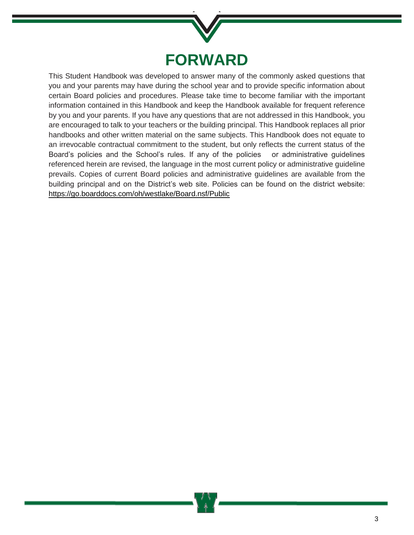

This Student Handbook was developed to answer many of the commonly asked questions that you and your parents may have during the school year and to provide specific information about certain Board policies and procedures. Please take time to become familiar with the important information contained in this Handbook and keep the Handbook available for frequent reference by you and your parents. If you have any questions that are not addressed in this Handbook, you are encouraged to talk to your teachers or the building principal. This Handbook replaces all prior handbooks and other written material on the same subjects. This Handbook does not equate to an irrevocable contractual commitment to the student, but only reflects the current status of the Board's policies and the School's rules. If any of the policies or administrative guidelines referenced herein are revised, the language in the most current policy or administrative guideline prevails. Copies of current Board policies and administrative guidelines are available from the building principal and on the District's web site. Policies can be found on the district website: <https://go.boarddocs.com/oh/westlake/Board.nsf/Public>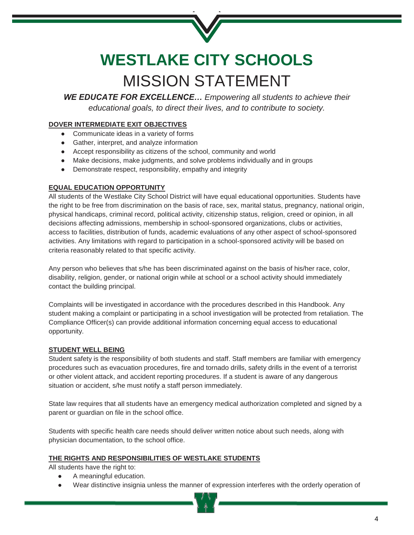

# **WESTLAKE CITY SCHOOLS** MISSION STATEMENT

*WE EDUCATE FOR EXCELLENCE… Empowering all students to achieve their educational goals, to direct their lives, and to contribute to society.*

# **DOVER INTERMEDIATE EXIT OBJECTIVES**

- Communicate ideas in a variety of forms
- Gather, interpret, and analyze information
- Accept responsibility as citizens of the school, community and world
- Make decisions, make judgments, and solve problems individually and in groups
- Demonstrate respect, responsibility, empathy and integrity

# **EQUAL EDUCATION OPPORTUNITY**

All students of the Westlake City School District will have equal educational opportunities. Students have the right to be free from discrimination on the basis of race, sex, marital status, pregnancy, national origin, physical handicaps, criminal record, political activity, citizenship status, religion, creed or opinion, in all decisions affecting admissions, membership in school-sponsored organizations, clubs or activities, access to facilities, distribution of funds, academic evaluations of any other aspect of school-sponsored activities. Any limitations with regard to participation in a school-sponsored activity will be based on criteria reasonably related to that specific activity.

Any person who believes that s/he has been discriminated against on the basis of his/her race, color, disability, religion, gender, or national origin while at school or a school activity should immediately contact the building principal.

Complaints will be investigated in accordance with the procedures described in this Handbook. Any student making a complaint or participating in a school investigation will be protected from retaliation. The Compliance Officer(s) can provide additional information concerning equal access to educational opportunity.

# **STUDENT WELL BEING**

Student safety is the responsibility of both students and staff. Staff members are familiar with emergency procedures such as evacuation procedures, fire and tornado drills, safety drills in the event of a terrorist or other violent attack, and accident reporting procedures. If a student is aware of any dangerous situation or accident, s/he must notify a staff person immediately.

State law requires that all students have an emergency medical authorization completed and signed by a parent or guardian on file in the school office.

Students with specific health care needs should deliver written notice about such needs, along with physician documentation, to the school office.

# **THE RIGHTS AND RESPONSIBILITIES OF WESTLAKE STUDENTS**

All students have the right to:

- A meaningful education.
- Wear distinctive insignia unless the manner of expression interferes with the orderly operation of

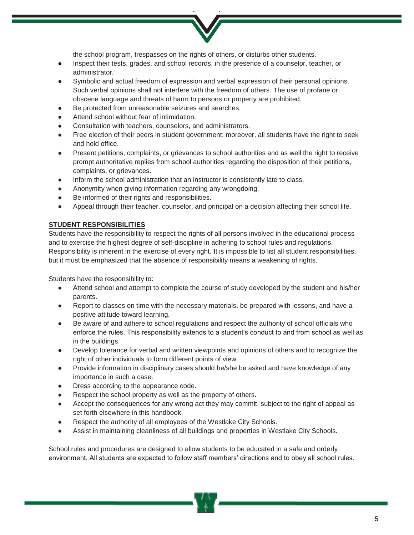the school program, trespasses on the rights of others, or disturbs other students.

- Inspect their tests, grades, and school records, in the presence of a counselor, teacher, or administrator.
- Symbolic and actual freedom of expression and verbal expression of their personal opinions. Such verbal opinions shall not interfere with the freedom of others. The use of profane or obscene language and threats of harm to persons or property are prohibited.
- Be protected from unreasonable seizures and searches.
- Attend school without fear of intimidation.
- Consultation with teachers, counselors, and administrators.
- Free election of their peers in student government; moreover, all students have the right to seek and hold office.
- Present petitions, complaints, or grievances to school authorities and as well the right to receive prompt authoritative replies from school authorities regarding the disposition of their petitions, complaints, or grievances.
- Inform the school administration that an instructor is consistently late to class.
- Anonymity when giving information regarding any wrongdoing.
- Be informed of their rights and responsibilities.
- Appeal through their teacher, counselor, and principal on a decision affecting their school life.

# **STUDENT RESPONSIBILITIES**

Students have the responsibility to respect the rights of all persons involved in the educational process and to exercise the highest degree of self-discipline in adhering to school rules and regulations. Responsibility is inherent in the exercise of every right. It is impossible to list all student responsibilities, but it must be emphasized that the absence of responsibility means a weakening of rights.

Students have the responsibility to:

- Attend school and attempt to complete the course of study developed by the student and his/her parents.
- Report to classes on time with the necessary materials, be prepared with lessons, and have a positive attitude toward learning.
- Be aware of and adhere to school regulations and respect the authority of school officials who enforce the rules. This responsibility extends to a student's conduct to and from school as well as in the buildings.
- Develop tolerance for verbal and written viewpoints and opinions of others and to recognize the right of other individuals to form different points of view.
- Provide information in disciplinary cases should he/she be asked and have knowledge of any importance in such a case.
- Dress according to the appearance code.
- Respect the school property as well as the property of others.
- Accept the consequences for any wrong act they may commit, subject to the right of appeal as set forth elsewhere in this handbook.
- Respect the authority of all employees of the Westlake City Schools.
- Assist in maintaining cleanliness of all buildings and properties in Westlake City Schools.

School rules and procedures are designed to allow students to be educated in a safe and orderly environment. All students are expected to follow staff members' directions and to obey all school rules.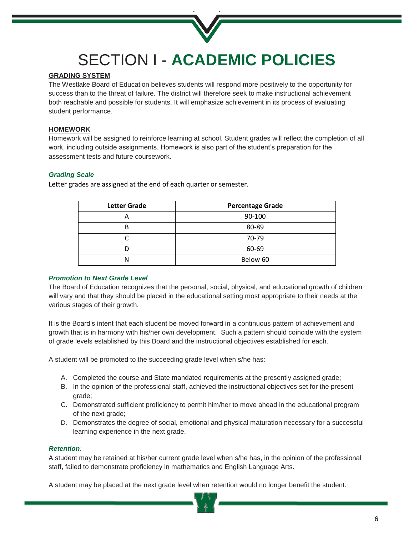

# SECTION I - **ACADEMIC POLICIES**

# **GRADING SYSTEM**

The Westlake Board of Education believes students will respond more positively to the opportunity for success than to the threat of failure. The district will therefore seek to make instructional achievement both reachable and possible for students. It will emphasize achievement in its process of evaluating student performance.

# **HOMEWORK**

Homework will be assigned to reinforce learning at school. Student grades will reflect the completion of all work, including outside assignments. Homework is also part of the student's preparation for the assessment tests and future coursework.

# *Grading Scale*

Letter grades are assigned at the end of each quarter or semester.

| <b>Letter Grade</b> | <b>Percentage Grade</b> |
|---------------------|-------------------------|
| А                   | 90-100                  |
| В                   | 80-89                   |
|                     | 70-79                   |
|                     | 60-69                   |
|                     | Below 60                |

# *Promotion to Next Grade Level*

The Board of Education recognizes that the personal, social, physical, and educational growth of children will vary and that they should be placed in the educational setting most appropriate to their needs at the various stages of their growth.

It is the Board's intent that each student be moved forward in a continuous pattern of achievement and growth that is in harmony with his/her own development. Such a pattern should coincide with the system of grade levels established by this Board and the instructional objectives established for each.

A student will be promoted to the succeeding grade level when s/he has:

- A. Completed the course and State mandated requirements at the presently assigned grade;
- B. In the opinion of the professional staff, achieved the instructional objectives set for the present grade;
- C. Demonstrated sufficient proficiency to permit him/her to move ahead in the educational program of the next grade;
- D. Demonstrates the degree of social, emotional and physical maturation necessary for a successful learning experience in the next grade.

#### *Retention:*

A student may be retained at his/her current grade level when s/he has, in the opinion of the professional staff, failed to demonstrate proficiency in mathematics and English Language Arts.

A student may be placed at the next grade level when retention would no longer benefit the student.

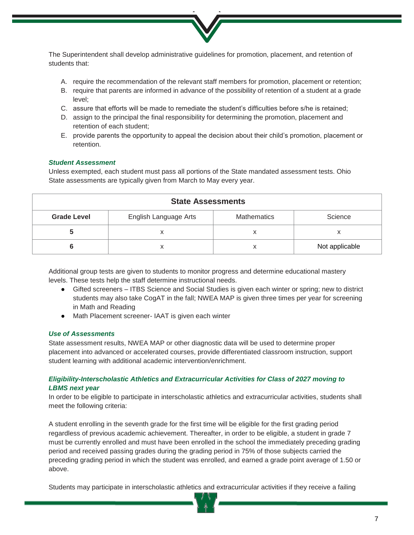

The Superintendent shall develop administrative guidelines for promotion, placement, and retention of students that:

- A. require the recommendation of the relevant staff members for promotion, placement or retention;
- B. require that parents are informed in advance of the possibility of retention of a student at a grade level;
- C. assure that efforts will be made to remediate the student's difficulties before s/he is retained;
- D. assign to the principal the final responsibility for determining the promotion, placement and retention of each student;
- E. provide parents the opportunity to appeal the decision about their child's promotion, placement or retention.

# *Student Assessment*

Unless exempted, each student must pass all portions of the State mandated assessment tests. Ohio State assessments are typically given from March to May every year.

| <b>State Assessments</b> |                       |                    |                |
|--------------------------|-----------------------|--------------------|----------------|
| <b>Grade Level</b>       | English Language Arts | <b>Mathematics</b> | Science        |
|                          |                       |                    |                |
|                          |                       |                    | Not applicable |

Additional group tests are given to students to monitor progress and determine educational mastery levels. These tests help the staff determine instructional needs.

- Gifted screeners ITBS Science and Social Studies is given each winter or spring; new to district students may also take CogAT in the fall; NWEA MAP is given three times per year for screening in Math and Reading
- Math Placement screener- IAAT is given each winter

### *Use of Assessments*

State assessment results, NWEA MAP or other diagnostic data will be used to determine proper placement into advanced or accelerated courses, provide differentiated classroom instruction, support student learning with additional academic intervention/enrichment.

# *Eligibility-Interscholastic Athletics and Extracurricular Activities for Class of 2027 moving to LBMS next year*

In order to be eligible to participate in interscholastic athletics and extracurricular activities, students shall meet the following criteria:

A student enrolling in the seventh grade for the first time will be eligible for the first grading period regardless of previous academic achievement. Thereafter, in order to be eligible, a student in grade 7 must be currently enrolled and must have been enrolled in the school the immediately preceding grading period and received passing grades during the grading period in 75% of those subjects carried the preceding grading period in which the student was enrolled, and earned a grade point average of 1.50 or above.

Students may participate in interscholastic athletics and extracurricular activities if they receive a failing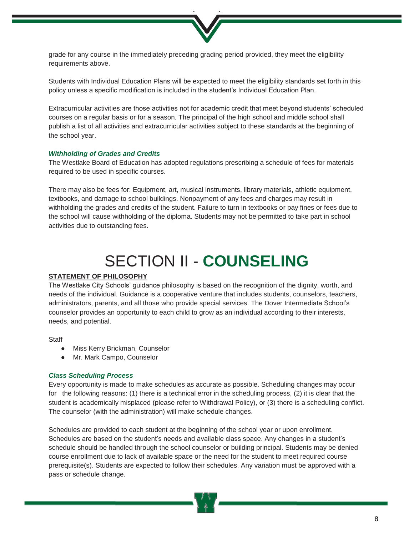

grade for any course in the immediately preceding grading period provided, they meet the eligibility requirements above.

Students with Individual Education Plans will be expected to meet the eligibility standards set forth in this policy unless a specific modification is included in the student's Individual Education Plan.

Extracurricular activities are those activities not for academic credit that meet beyond students' scheduled courses on a regular basis or for a season. The principal of the high school and middle school shall publish a list of all activities and extracurricular activities subject to these standards at the beginning of the school year.

#### *Withholding of Grades and Credits*

The Westlake Board of Education has adopted regulations prescribing a schedule of fees for materials required to be used in specific courses.

There may also be fees for: Equipment, art, musical instruments, library materials, athletic equipment, textbooks, and damage to school buildings. Nonpayment of any fees and charges may result in withholding the grades and credits of the student. Failure to turn in textbooks or pay fines or fees due to the school will cause withholding of the diploma. Students may not be permitted to take part in school activities due to outstanding fees.

# SECTION II - **COUNSELING**

# **STATEMENT OF PHILOSOPHY**

The Westlake City Schools' guidance philosophy is based on the recognition of the dignity, worth, and needs of the individual. Guidance is a cooperative venture that includes students, counselors, teachers, administrators, parents, and all those who provide special services. The Dover Intermediate School's counselor provides an opportunity to each child to grow as an individual according to their interests, needs, and potential.

#### **Staff**

- Miss Kerry Brickman, Counselor
- Mr. Mark Campo, Counselor

#### *Class Scheduling Process*

Every opportunity is made to make schedules as accurate as possible. Scheduling changes may occur for the following reasons: (1) there is a technical error in the scheduling process, (2) it is clear that the student is academically misplaced (please refer to Withdrawal Policy), or (3) there is a scheduling conflict. The counselor (with the administration) will make schedule changes.

Schedules are provided to each student at the beginning of the school year or upon enrollment. Schedules are based on the student's needs and available class space. Any changes in a student's schedule should be handled through the school counselor or building principal. Students may be denied course enrollment due to lack of available space or the need for the student to meet required course prerequisite(s). Students are expected to follow their schedules. Any variation must be approved with a pass or schedule change.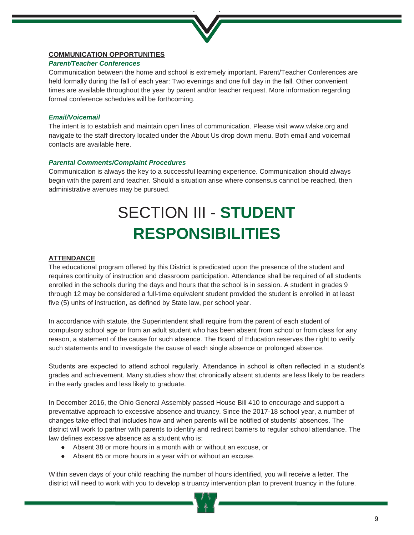

# **COMMUNICATION OPPORTUNITIES**

# *Parent/Teacher Conferences*

Communication between the home and school is extremely important. Parent/Teacher Conferences are held formally during the fall of each year: Two evenings and one full day in the fall. Other convenient times are available throughout the year by parent and/or teacher request. More information regarding formal conference schedules will be forthcoming.

# *Email/Voicemail*

The intent is to establish and maintain open lines of communication. Please visit [www.wlake.org a](http://www.wlake.org/)nd navigate to the staff directory located under the About Us drop down menu. Both email and voicemail contacts are available [here.](https://www.wlake.org/parents/parent-resources/staff-directory)

# *Parental Comments/Complaint Procedures*

Communication is always the key to a successful learning experience. Communication should always begin with the parent and teacher. Should a situation arise where consensus cannot be reached, then administrative avenues may be pursued.

# SECTION III - **STUDENT RESPONSIBILITIES**

# **ATTENDANCE**

The educational program offered by this District is predicated upon the presence of the student and requires continuity of instruction and classroom participation. Attendance shall be required of all students enrolled in the schools during the days and hours that the school is in session. A student in grades 9 through 12 may be considered a full-time equivalent student provided the student is enrolled in at least five (5) units of instruction, as defined by State law, per school year.

In accordance with statute, the Superintendent shall require from the parent of each student of compulsory school age or from an adult student who has been absent from school or from class for any reason, a statement of the cause for such absence. The Board of Education reserves the right to verify such statements and to investigate the cause of each single absence or prolonged absence.

Students are expected to attend school regularly. Attendance in school is often reflected in a student's grades and achievement. Many studies show that chronically absent students are less likely to be readers in the early grades and less likely to graduate.

In December 2016, the Ohio General Assembly passed House Bill 410 to encourage and support a preventative approach to excessive absence and truancy. Since the 2017-18 school year, a number of changes take effect that includes how and when parents will be notified of students' absences. The district will work to partner with parents to identify and redirect barriers to regular school attendance. The law defines excessive absence as a student who is:

- Absent 38 or more hours in a month with or without an excuse, or
- Absent 65 or more hours in a year with or without an excuse.

Within seven days of your child reaching the number of hours identified, you will receive a letter. The district will need to work with you to develop a truancy intervention plan to prevent truancy in the future.

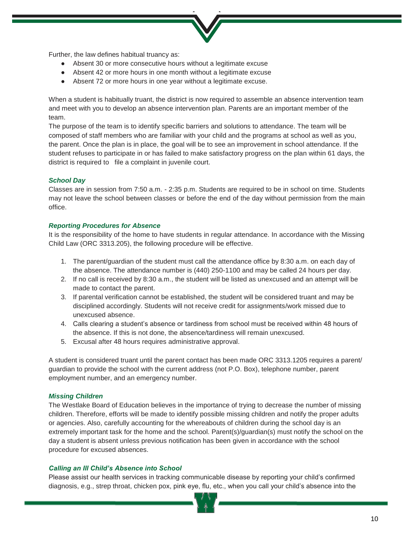Further, the law defines habitual truancy as:

- Absent 30 or more consecutive hours without a legitimate excuse
- Absent 42 or more hours in one month without a legitimate excuse
- Absent 72 or more hours in one year without a legitimate excuse.

When a student is habitually truant, the district is now required to assemble an absence intervention team and meet with you to develop an absence intervention plan. Parents are an important member of the team.

The purpose of the team is to identify specific barriers and solutions to attendance. The team will be composed of staff members who are familiar with your child and the programs at school as well as you, the parent. Once the plan is in place, the goal will be to see an improvement in school attendance. If the student refuses to participate in or has failed to make satisfactory progress on the plan within 61 days, the district is required to file a complaint in juvenile court.

#### *School Day*

Classes are in session from 7:50 a.m. - 2:35 p.m. Students are required to be in school on time. Students may not leave the school between classes or before the end of the day without permission from the main office.

#### *Reporting Procedures for Absence*

It is the responsibility of the home to have students in regular attendance. In accordance with the Missing Child Law (ORC 3313.205), the following procedure will be effective.

- 1. The parent/guardian of the student must call the attendance office by 8:30 a.m. on each day of the absence. The attendance number is (440) 250-1100 and may be called 24 hours per day.
- 2. If no call is received by 8:30 a.m., the student will be listed as unexcused and an attempt will be made to contact the parent.
- 3. If parental verification cannot be established, the student will be considered truant and may be disciplined accordingly. Students will not receive credit for assignments/work missed due to unexcused absence.
- 4. Calls clearing a student's absence or tardiness from school must be received within 48 hours of the absence. If this is not done, the absence/tardiness will remain unexcused.
- 5. Excusal after 48 hours requires administrative approval.

A student is considered truant until the parent contact has been made ORC 3313.1205 requires a parent/ guardian to provide the school with the current address (not P.O. Box), telephone number, parent employment number, and an emergency number.

#### *Missing Children*

The Westlake Board of Education believes in the importance of trying to decrease the number of missing children. Therefore, efforts will be made to identify possible missing children and notify the proper adults or agencies. Also, carefully accounting for the whereabouts of children during the school day is an extremely important task for the home and the school. Parent(s)/guardian(s) must notify the school on the day a student is absent unless previous notification has been given in accordance with the school procedure for excused absences.

#### *Calling an Ill Child's Absence into School*

Please assist our health services in tracking communicable disease by reporting your child's confirmed diagnosis, e.g., strep throat, chicken pox, pink eye, flu, etc., when you call your child's absence into the

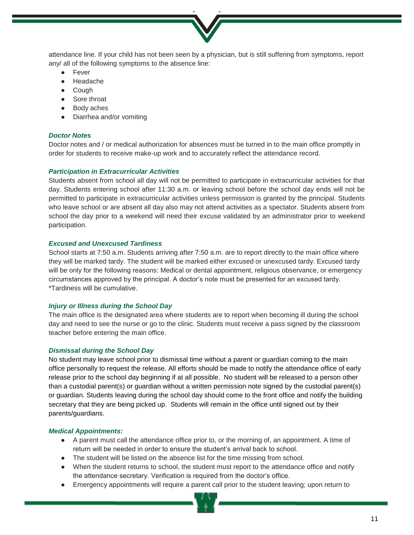

attendance line. If your child has not been seen by a physician, but is still suffering from symptoms, report any/ all of the following symptoms to the absence line:

- **Fever**
- Headache
- Cough
- Sore throat
- Body aches
- Diarrhea and/or vomiting

# *Doctor Notes*

Doctor notes and / or medical authorization for absences must be turned in to the main office promptly in order for students to receive make-up work and to accurately reflect the attendance record.

# *Participation in Extracurricular Activities*

Students absent from school all day will not be permitted to participate in extracurricular activities for that day. Students entering school after 11:30 a.m. or leaving school before the school day ends will not be permitted to participate in extracurricular activities unless permission is granted by the principal. Students who leave school or are absent all day also may not attend activities as a spectator. Students absent from school the day prior to a weekend will need their excuse validated by an administrator prior to weekend participation.

# *Excused and Unexcused Tardiness*

School starts at 7:50 a.m. Students arriving after 7:50 a.m. are to report directly to the main office where they will be marked tardy. The student will be marked either excused or unexcused tardy. Excused tardy will be only for the following reasons: Medical or dental appointment, religious observance, or emergency circumstances approved by the principal. A doctor's note must be presented for an excused tardy. \*Tardiness will be cumulative.

#### *Injury or Illness during the School Day*

The main office is the designated area where students are to report when becoming ill during the school day and need to see the nurse or go to the clinic. Students must receive a pass signed by the classroom teacher before entering the main office.

#### *Dismissal during the School Day*

No student may leave school prior to dismissal time without a parent or guardian coming to the main office personally to request the release. All efforts should be made to notify the attendance office of early release prior to the school day beginning if at all possible. No student will be released to a person other than a custodial parent(s) or guardian without a written permission note signed by the custodial parent(s) or guardian. Students leaving during the school day should come to the front office and notify the building secretary that they are being picked up. Students will remain in the office until signed out by their parents/guardians.

#### *Medical Appointments:*

- A parent must call the attendance office prior to, or the morning of, an appointment. A time of return will be needed in order to ensure the student's arrival back to school.
- The student will be listed on the absence list for the time missing from school.
- When the student returns to school, the student must report to the attendance office and notify the attendance secretary. Verification is required from the doctor's office.
- Emergency appointments will require a parent call prior to the student leaving; upon return to

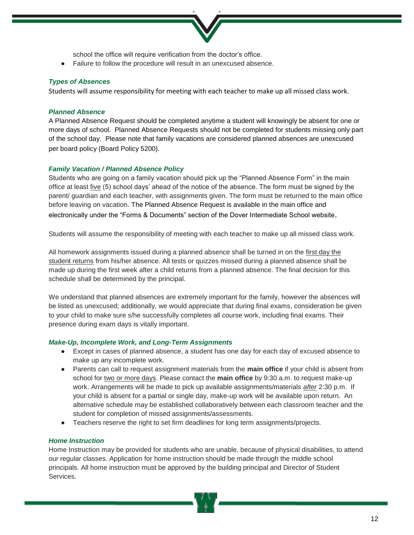school the office will require verification from the doctor's office.

● Failure to follow the procedure will result in an unexcused absence.

# *Types of Absences*

Students will assume responsibility for meeting with each teacher to make up all missed class work.

# *Planned Absence*

A Planned Absence Request should be completed anytime a student will knowingly be absent for one or more days of school. Planned Absence Requests should not be completed for students missing only part of the school day. Please note that family vacations are considered planned absences are unexcused per board policy (Board Policy 5200).

# *Family Vacation / Planned Absence Policy*

Students who are going on a family vacation should pick up the "Planned Absence Form" in the main office at least five (5) school days' ahead of the notice of the absence. The form must be signed by the parent/ guardian and each teacher, with assignments given. The form must be returned to the main office before leaving on vacation. The Planned Absence Request is available in the main office and electronically under the "Forms & Documents" section of the Dover Intermediate School website.

Students will assume the responsibility of meeting with each teacher to make up all missed class work.

All homework assignments issued during a planned absence shall be turned in on the first day the student returns from his/her absence. All tests or quizzes missed during a planned absence shall be made up during the first week after a child returns from a planned absence. The final decision for this schedule shall be determined by the principal.

We understand that planned absences are extremely important for the family, however the absences will be listed as unexcused; additionally, we would appreciate that during final exams, consideration be given to your child to make sure s/he successfully completes all course work, including final exams. Their presence during exam days is vitally important.

# *Make-Up, Incomplete Work, and Long-Term Assignments*

- Except in cases of planned absence, a student has one day for each day of excused absence to make up any incomplete work.
- Parents can call to request assignment materials from the **main office** if your child is absent from school for two or more days. Please contact the **main office** by 9:30 a.m. to request make-up work. Arrangements will be made to pick up available assignments/materials *after* 2:30 p.m. If your child is absent for a partial or single day, make-up work will be available upon return. An alternative schedule may be established collaboratively between each classroom teacher and the student for completion of missed assignments/assessments.
- Teachers reserve the right to set firm deadlines for long term assignments/projects.

# *Home Instruction*

Home Instruction may be provided for students who are unable, because of physical disabilities, to attend our regular classes. Application for home instruction should be made through the middle school principals. All home instruction must be approved by the building principal and Director of Student Services.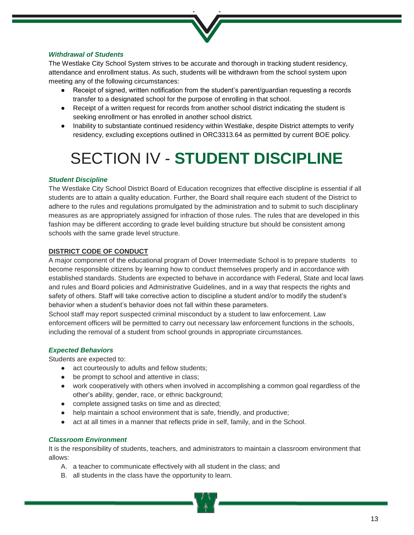

# *Withdrawal of Students*

The Westlake City School System strives to be accurate and thorough in tracking student residency, attendance and enrollment status. As such, students will be withdrawn from the school system upon meeting any of the following circumstances:

- Receipt of signed, written notification from the student's parent/guardian requesting a records transfer to a designated school for the purpose of enrolling in that school.
- Receipt of a written request for records from another school district indicating the student is seeking enrollment or has enrolled in another school district.
- Inability to substantiate continued residency within Westlake, despite District attempts to verify residency, excluding exceptions outlined in ORC3313.64 as permitted by current BOE policy.

# SECTION IV - **STUDENT DISCIPLINE**

# *Student Discipline*

The Westlake City School District Board of Education recognizes that effective discipline is essential if all students are to attain a quality education. Further, the Board shall require each student of the District to adhere to the rules and regulations promulgated by the administration and to submit to such disciplinary measures as are appropriately assigned for infraction of those rules. The rules that are developed in this fashion may be different according to grade level building structure but should be consistent among schools with the same grade level structure.

#### **DISTRICT CODE OF CONDUCT**

A major component of the educational program of Dover Intermediate School is to prepare students to become responsible citizens by learning how to conduct themselves properly and in accordance with established standards. Students are expected to behave in accordance with Federal, State and local laws and rules and Board policies and Administrative Guidelines, and in a way that respects the rights and safety of others. Staff will take corrective action to discipline a student and/or to modify the student's behavior when a student's behavior does not fall within these parameters.

School staff may report suspected criminal misconduct by a student to law enforcement. Law enforcement officers will be permitted to carry out necessary law enforcement functions in the schools, including the removal of a student from school grounds in appropriate circumstances.

# *Expected Behaviors*

Students are expected to:

- act courteously to adults and fellow students;
- be prompt to school and attentive in class;
- work cooperatively with others when involved in accomplishing a common goal regardless of the other's ability, gender, race, or ethnic background;
- complete assigned tasks on time and as directed;
- help maintain a school environment that is safe, friendly, and productive;
- act at all times in a manner that reflects pride in self, family, and in the School.

#### *Classroom Environment*

It is the responsibility of students, teachers, and administrators to maintain a classroom environment that allows:

- A. a teacher to communicate effectively with all student in the class; and
- B. all students in the class have the opportunity to learn.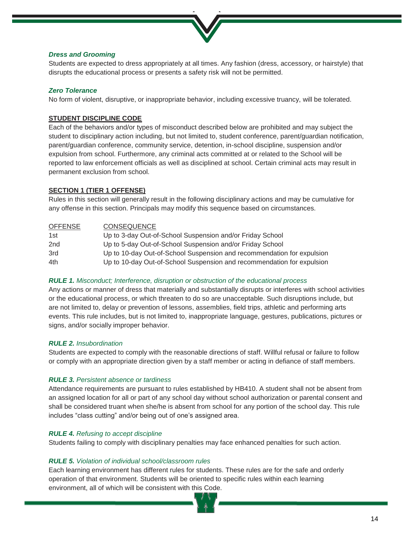

# *Dress and Grooming*

Students are expected to dress appropriately at all times. Any fashion (dress, accessory, or hairstyle) that disrupts the educational process or presents a safety risk will not be permitted.

# *Zero Tolerance*

No form of violent, disruptive, or inappropriate behavior, including excessive truancy, will be tolerated.

# **STUDENT DISCIPLINE CODE**

Each of the behaviors and/or types of misconduct described below are prohibited and may subject the student to disciplinary action including, but not limited to, student conference, parent/guardian notification, parent/guardian conference, community service, detention, in-school discipline, suspension and/or expulsion from school. Furthermore, any criminal acts committed at or related to the School will be reported to law enforcement officials as well as disciplined at school. Certain criminal acts may result in permanent exclusion from school.

# **SECTION 1 (TIER 1 OFFENSE)**

Rules in this section will generally result in the following disciplinary actions and may be cumulative for any offense in this section. Principals may modify this sequence based on circumstances.

| OFFENSE | <b>CONSEQUENCE</b>                                                     |
|---------|------------------------------------------------------------------------|
| 1st     | Up to 3-day Out-of-School Suspension and/or Friday School              |
| 2nd     | Up to 5-day Out-of-School Suspension and/or Friday School              |
| 3rd     | Up to 10-day Out-of-School Suspension and recommendation for expulsion |
| 4th     | Up to 10-day Out-of-School Suspension and recommendation for expulsion |

#### *RULE 1. Misconduct; Interference, disruption or obstruction of the educational process*

Any actions or manner of dress that materially and substantially disrupts or interferes with school activities or the educational process, or which threaten to do so are unacceptable. Such disruptions include, but are not limited to, delay or prevention of lessons, assemblies, field trips, athletic and performing arts events. This rule includes, but is not limited to, inappropriate language, gestures, publications, pictures or signs, and/or socially improper behavior.

# *RULE 2. Insubordination*

Students are expected to comply with the reasonable directions of staff. Willful refusal or failure to follow or comply with an appropriate direction given by a staff member or acting in defiance of staff members.

#### *RULE 3. Persistent absence or tardiness*

Attendance requirements are pursuant to rules established by HB410. A student shall not be absent from an assigned location for all or part of any school day without school authorization or parental consent and shall be considered truant when she/he is absent from school for any portion of the school day. This rule includes "class cutting" and/or being out of one's assigned area.

#### *RULE 4. Refusing to accept discipline*

Students failing to comply with disciplinary penalties may face enhanced penalties for such action.

# *RULE 5. Violation of individual school/classroom rules*

Each learning environment has different rules for students. These rules are for the safe and orderly operation of that environment. Students will be oriented to specific rules within each learning environment, all of which will be consistent with this Code.

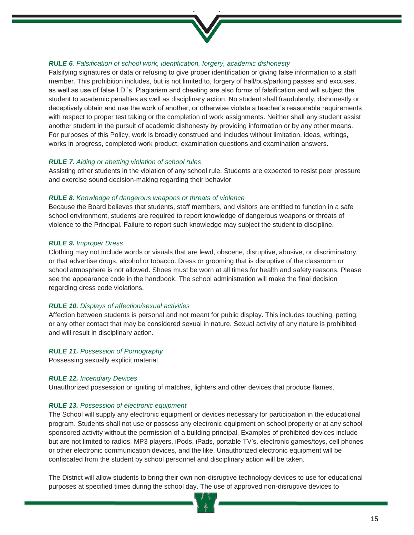

# *RULE 6. Falsification of school work, identification, forgery, academic dishonesty*

Falsifying signatures or data or refusing to give proper identification or giving false information to a staff member. This prohibition includes, but is not limited to, forgery of hall/bus/parking passes and excuses, as well as use of false I.D.'s. Plagiarism and cheating are also forms of falsification and will subject the student to academic penalties as well as disciplinary action. No student shall fraudulently, dishonestly or deceptively obtain and use the work of another, or otherwise violate a teacher's reasonable requirements with respect to proper test taking or the completion of work assignments. Neither shall any student assist another student in the pursuit of academic dishonesty by providing information or by any other means. For purposes of this Policy, work is broadly construed and includes without limitation, ideas, writings, works in progress, completed work product, examination questions and examination answers.

# *RULE 7. Aiding or abetting violation of school rules*

Assisting other students in the violation of any school rule. Students are expected to resist peer pressure and exercise sound decision-making regarding their behavior.

# *RULE 8. Knowledge of dangerous weapons or threats of violence*

Because the Board believes that students, staff members, and visitors are entitled to function in a safe school environment, students are required to report knowledge of dangerous weapons or threats of violence to the Principal. Failure to report such knowledge may subject the student to discipline.

# *RULE 9. Improper Dress*

Clothing may not include words or visuals that are lewd, obscene, disruptive, abusive, or discriminatory, or that advertise drugs, alcohol or tobacco. Dress or grooming that is disruptive of the classroom or school atmosphere is not allowed. Shoes must be worn at all times for health and safety reasons. Please see the appearance code in the handbook. The school administration will make the final decision regarding dress code violations.

#### *RULE 10. Displays of affection/sexual activities*

Affection between students is personal and not meant for public display. This includes touching, petting, or any other contact that may be considered sexual in nature. Sexual activity of any nature is prohibited and will result in disciplinary action.

#### *RULE 11. Possession of Pornography*

Possessing sexually explicit material.

# *RULE 12. Incendiary Devices*

Unauthorized possession or igniting of matches, lighters and other devices that produce flames.

# *RULE 13. Possession of electronic equipment*

The School will supply any electronic equipment or devices necessary for participation in the educational program. Students shall not use or possess any electronic equipment on school property or at any school sponsored activity without the permission of a building principal. Examples of prohibited devices include but are not limited to radios, MP3 players, iPods, iPads, portable TV's, electronic games/toys, cell phones or other electronic communication devices, and the like. Unauthorized electronic equipment will be confiscated from the student by school personnel and disciplinary action will be taken.

The District will allow students to bring their own non-disruptive technology devices to use for educational purposes at specified times during the school day. The use of approved non-disruptive devices to

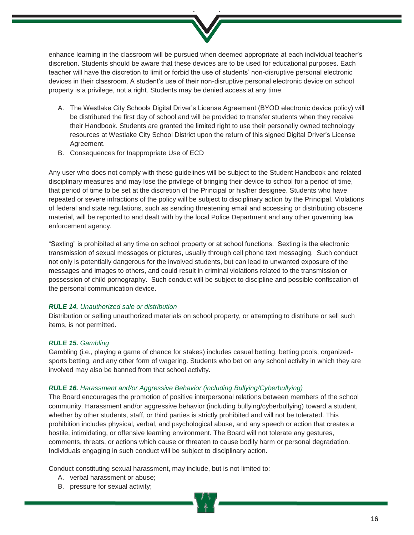

enhance learning in the classroom will be pursued when deemed appropriate at each individual teacher's discretion. Students should be aware that these devices are to be used for educational purposes. Each teacher will have the discretion to limit or forbid the use of students' non-disruptive personal electronic devices in their classroom. A student's use of their non-disruptive personal electronic device on school property is a privilege, not a right. Students may be denied access at any time.

- A. The Westlake City Schools Digital Driver's License Agreement (BYOD electronic device policy) will be distributed the first day of school and will be provided to transfer students when they receive their Handbook. Students are granted the limited right to use their personally owned technology resources at Westlake City School District upon the return of this signed Digital Driver's License Agreement.
- B. Consequences for Inappropriate Use of ECD

Any user who does not comply with these guidelines will be subject to the Student Handbook and related disciplinary measures and may lose the privilege of bringing their device to school for a period of time, that period of time to be set at the discretion of the Principal or his/her designee. Students who have repeated or severe infractions of the policy will be subject to disciplinary action by the Principal. Violations of federal and state regulations, such as sending threatening email and accessing or distributing obscene material, will be reported to and dealt with by the local Police Department and any other governing law enforcement agency.

"Sexting" is prohibited at any time on school property or at school functions. Sexting is the electronic transmission of sexual messages or pictures, usually through cell phone text messaging. Such conduct not only is potentially dangerous for the involved students, but can lead to unwanted exposure of the messages and images to others, and could result in criminal violations related to the transmission or possession of child pornography. Such conduct will be subject to discipline and possible confiscation of the personal communication device.

# *RULE 14. Unauthorized sale or distribution*

Distribution or selling unauthorized materials on school property, or attempting to distribute or sell such items, is not permitted.

#### *RULE 15. Gambling*

Gambling (i.e., playing a game of chance for stakes) includes casual betting, betting pools, organizedsports betting, and any other form of wagering. Students who bet on any school activity in which they are involved may also be banned from that school activity.

#### *RULE 16. Harassment and/or Aggressive Behavior (including Bullying/Cyberbullying)*

The Board encourages the promotion of positive interpersonal relations between members of the school community. Harassment and/or aggressive behavior (including bullying/cyberbullying) toward a student, whether by other students, staff, or third parties is strictly prohibited and will not be tolerated. This prohibition includes physical, verbal, and psychological abuse, and any speech or action that creates a hostile, intimidating, or offensive learning environment. The Board will not tolerate any gestures, comments, threats, or actions which cause or threaten to cause bodily harm or personal degradation. Individuals engaging in such conduct will be subject to disciplinary action.

Conduct constituting sexual harassment, may include, but is not limited to:

- A. verbal harassment or abuse;
- B. pressure for sexual activity;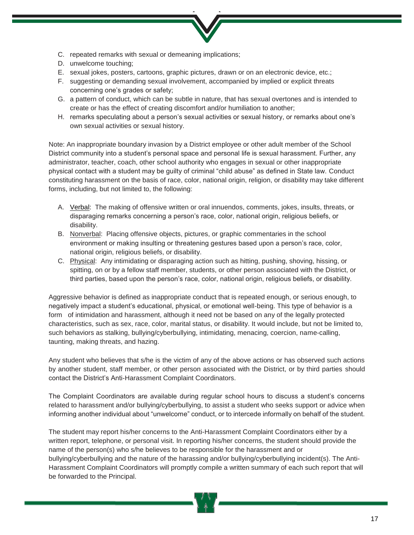- C. repeated remarks with sexual or demeaning implications;
- D. unwelcome touching;
- E. sexual jokes, posters, cartoons, graphic pictures, drawn or on an electronic device, etc.;
- F. suggesting or demanding sexual involvement, accompanied by implied or explicit threats concerning one's grades or safety;
- G. a pattern of conduct, which can be subtle in nature, that has sexual overtones and is intended to create or has the effect of creating discomfort and/or humiliation to another;
- H. remarks speculating about a person's sexual activities or sexual history, or remarks about one's own sexual activities or sexual history.

Note: An inappropriate boundary invasion by a District employee or other adult member of the School District community into a student's personal space and personal life is sexual harassment. Further, any administrator, teacher, coach, other school authority who engages in sexual or other inappropriate physical contact with a student may be guilty of criminal "child abuse" as defined in State law. Conduct constituting harassment on the basis of race, color, national origin, religion, or disability may take different forms, including, but not limited to, the following:

- A. Verbal: The making of offensive written or oral innuendos, comments, jokes, insults, threats, or disparaging remarks concerning a person's race, color, national origin, religious beliefs, or disability.
- B. Nonverbal: Placing offensive objects, pictures, or graphic commentaries in the school environment or making insulting or threatening gestures based upon a person's race, color, national origin, religious beliefs, or disability.
- C. Physical: Any intimidating or disparaging action such as hitting, pushing, shoving, hissing, or spitting, on or by a fellow staff member, students, or other person associated with the District, or third parties, based upon the person's race, color, national origin, religious beliefs, or disability.

Aggressive behavior is defined as inappropriate conduct that is repeated enough, or serious enough, to negatively impact a student's educational, physical, or emotional well-being. This type of behavior is a form of intimidation and harassment, although it need not be based on any of the legally protected characteristics, such as sex, race, color, marital status, or disability. It would include, but not be limited to, such behaviors as stalking, bullying/cyberbullying, intimidating, menacing, coercion, name-calling, taunting, making threats, and hazing.

Any student who believes that s/he is the victim of any of the above actions or has observed such actions by another student, staff member, or other person associated with the District, or by third parties should contact the District's Anti-Harassment Complaint Coordinators.

The Complaint Coordinators are available during regular school hours to discuss a student's concerns related to harassment and/or bullying/cyberbullying, to assist a student who seeks support or advice when informing another individual about "unwelcome" conduct, or to intercede informally on behalf of the student.

The student may report his/her concerns to the Anti-Harassment Complaint Coordinators either by a written report, telephone, or personal visit. In reporting his/her concerns, the student should provide the name of the person(s) who s/he believes to be responsible for the harassment and or bullying/cyberbullying and the nature of the harassing and/or bullying/cyberbullying incident(s). The Anti-Harassment Complaint Coordinators will promptly compile a written summary of each such report that will be forwarded to the Principal.

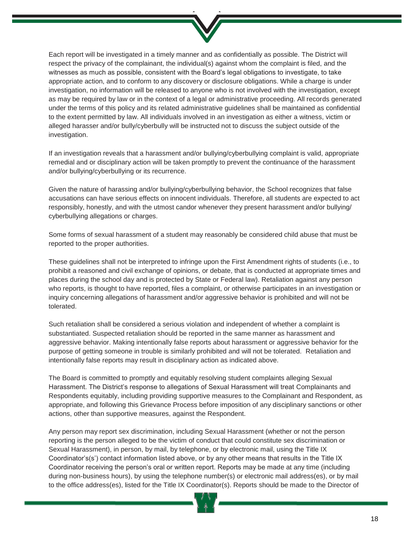

Each report will be investigated in a timely manner and as confidentially as possible. The District will respect the privacy of the complainant, the individual(s) against whom the complaint is filed, and the witnesses as much as possible, consistent with the Board's legal obligations to investigate, to take appropriate action, and to conform to any discovery or disclosure obligations. While a charge is under investigation, no information will be released to anyone who is not involved with the investigation, except as may be required by law or in the context of a legal or administrative proceeding. All records generated under the terms of this policy and its related administrative guidelines shall be maintained as confidential to the extent permitted by law. All individuals involved in an investigation as either a witness, victim or alleged harasser and/or bully/cyberbully will be instructed not to discuss the subject outside of the investigation.

If an investigation reveals that a harassment and/or bullying/cyberbullying complaint is valid, appropriate remedial and or disciplinary action will be taken promptly to prevent the continuance of the harassment and/or bullying/cyberbullying or its recurrence.

Given the nature of harassing and/or bullying/cyberbullying behavior, the School recognizes that false accusations can have serious effects on innocent individuals. Therefore, all students are expected to act responsibly, honestly, and with the utmost candor whenever they present harassment and/or bullying/ cyberbullying allegations or charges.

Some forms of sexual harassment of a student may reasonably be considered child abuse that must be reported to the proper authorities.

These guidelines shall not be interpreted to infringe upon the First Amendment rights of students (i.e., to prohibit a reasoned and civil exchange of opinions, or debate, that is conducted at appropriate times and places during the school day and is protected by State or Federal law). Retaliation against any person who reports, is thought to have reported, files a complaint, or otherwise participates in an investigation or inquiry concerning allegations of harassment and/or aggressive behavior is prohibited and will not be tolerated.

Such retaliation shall be considered a serious violation and independent of whether a complaint is substantiated. Suspected retaliation should be reported in the same manner as harassment and aggressive behavior. Making intentionally false reports about harassment or aggressive behavior for the purpose of getting someone in trouble is similarly prohibited and will not be tolerated. Retaliation and intentionally false reports may result in disciplinary action as indicated above.

The Board is committed to promptly and equitably resolving student complaints alleging Sexual Harassment. The District's response to allegations of Sexual Harassment will treat Complainants and Respondents equitably, including providing supportive measures to the Complainant and Respondent, as appropriate, and following this Grievance Process before imposition of any disciplinary sanctions or other actions, other than supportive measures, against the Respondent.

Any person may report sex discrimination, including Sexual Harassment (whether or not the person reporting is the person alleged to be the victim of conduct that could constitute sex discrimination or Sexual Harassment), in person, by mail, by telephone, or by electronic mail, using the Title IX Coordinator's(s') contact information listed above, or by any other means that results in the Title IX Coordinator receiving the person's oral or written report. Reports may be made at any time (including during non-business hours), by using the telephone number(s) or electronic mail address(es), or by mail to the office address(es), listed for the Title IX Coordinator(s). Reports should be made to the Director of

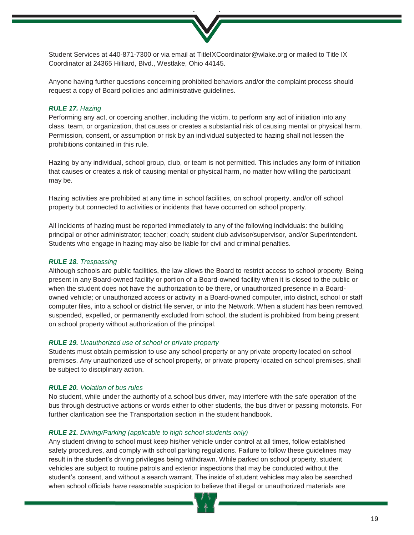

Student Services at 440-871-7300 or via email at TitleIXCoordinator@wlake.org or mailed to Title IX Coordinator at 24365 Hilliard, Blvd., Westlake, Ohio 44145.

Anyone having further questions concerning prohibited behaviors and/or the complaint process should request a copy of Board policies and administrative guidelines.

#### *RULE 17. Hazing*

Performing any act, or coercing another, including the victim, to perform any act of initiation into any class, team, or organization, that causes or creates a substantial risk of causing mental or physical harm. Permission, consent, or assumption or risk by an individual subjected to hazing shall not lessen the prohibitions contained in this rule.

Hazing by any individual, school group, club, or team is not permitted. This includes any form of initiation that causes or creates a risk of causing mental or physical harm, no matter how willing the participant may be.

Hazing activities are prohibited at any time in school facilities, on school property, and/or off school property but connected to activities or incidents that have occurred on school property.

All incidents of hazing must be reported immediately to any of the following individuals: the building principal or other administrator; teacher; coach; student club advisor/supervisor, and/or Superintendent. Students who engage in hazing may also be liable for civil and criminal penalties.

#### *RULE 18. Trespassing*

Although schools are public facilities, the law allows the Board to restrict access to school property. Being present in any Board-owned facility or portion of a Board-owned facility when it is closed to the public or when the student does not have the authorization to be there, or unauthorized presence in a Boardowned vehicle; or unauthorized access or activity in a Board-owned computer, into district, school or staff computer files, into a school or district file server, or into the Network. When a student has been removed, suspended, expelled, or permanently excluded from school, the student is prohibited from being present on school property without authorization of the principal.

#### *RULE 19. Unauthorized use of school or private property*

Students must obtain permission to use any school property or any private property located on school premises. Any unauthorized use of school property, or private property located on school premises, shall be subject to disciplinary action.

# *RULE 20. Violation of bus rules*

No student, while under the authority of a school bus driver, may interfere with the safe operation of the bus through destructive actions or words either to other students, the bus driver or passing motorists. For further clarification see the Transportation section in the student handbook.

#### *RULE 21. Driving/Parking (applicable to high school students only)*

Any student driving to school must keep his/her vehicle under control at all times, follow established safety procedures, and comply with school parking regulations. Failure to follow these guidelines may result in the student's driving privileges being withdrawn. While parked on school property, student vehicles are subject to routine patrols and exterior inspections that may be conducted without the student's consent, and without a search warrant. The inside of student vehicles may also be searched when school officials have reasonable suspicion to believe that illegal or unauthorized materials are

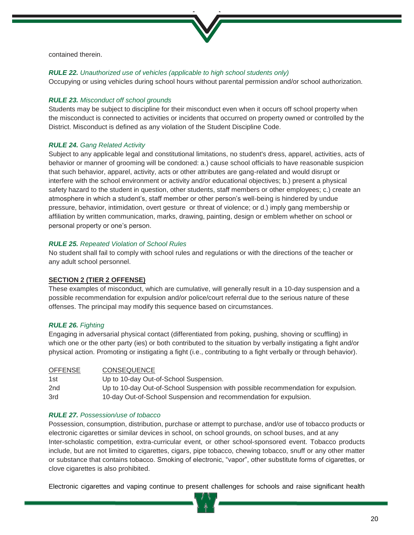

contained therein.

# *RULE 22. Unauthorized use of vehicles (applicable to high school students only)*

Occupying or using vehicles during school hours without parental permission and/or school authorization.

# *RULE 23. Misconduct off school grounds*

Students may be subject to discipline for their misconduct even when it occurs off school property when the misconduct is connected to activities or incidents that occurred on property owned or controlled by the District. Misconduct is defined as any violation of the Student Discipline Code.

# *RULE 24. Gang Related Activity*

Subject to any applicable legal and constitutional limitations, no student's dress, apparel, activities, acts of behavior or manner of grooming will be condoned: a.) cause school officials to have reasonable suspicion that such behavior, apparel, activity, acts or other attributes are gang-related and would disrupt or interfere with the school environment or activity and/or educational objectives; b.) present a physical safety hazard to the student in question, other students, staff members or other employees; c.) create an atmosphere in which a student's, staff member or other person's well-being is hindered by undue pressure, behavior, intimidation, overt gesture or threat of violence; or d.) imply gang membership or affiliation by written communication, marks, drawing, painting, design or emblem whether on school or personal property or one's person.

# *RULE 25. Repeated Violation of School Rules*

No student shall fail to comply with school rules and regulations or with the directions of the teacher or any adult school personnel.

# **SECTION 2 (TIER 2 OFFENSE)**

These examples of misconduct, which are cumulative, will generally result in a 10-day suspension and a possible recommendation for expulsion and/or police/court referral due to the serious nature of these offenses. The principal may modify this sequence based on circumstances.

# *RULE 26. Fighting*

Engaging in adversarial physical contact (differentiated from poking, pushing, shoving or scuffling) in which one or the other party (ies) or both contributed to the situation by verbally instigating a fight and/or physical action. Promoting or instigating a fight (i.e., contributing to a fight verbally or through behavior).

| <b>OFFENSE</b>  | <b>CONSEQUENCE</b>                                                                |
|-----------------|-----------------------------------------------------------------------------------|
| 1st             | Up to 10-day Out-of-School Suspension.                                            |
| 2 <sub>nd</sub> | Up to 10-day Out-of-School Suspension with possible recommendation for expulsion. |
| 3rd             | 10-day Out-of-School Suspension and recommendation for expulsion.                 |

#### *RULE 27. Possession/use of tobacco*

Possession, consumption, distribution, purchase or attempt to purchase, and/or use of tobacco products or electronic cigarettes or similar devices in school, on school grounds, on school buses, and at any Inter-scholastic competition, extra-curricular event, or other school-sponsored event. Tobacco products include, but are not limited to cigarettes, cigars, pipe tobacco, chewing tobacco, snuff or any other matter or substance that contains tobacco. Smoking of electronic, "vapor", other substitute forms of cigarettes, or clove cigarettes is also prohibited.

Electronic cigarettes and vaping continue to present challenges for schools and raise significant health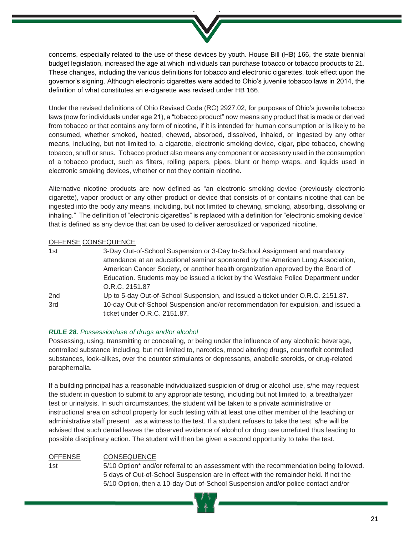concerns, especially related to the use of these devices by youth. House Bill (HB) 166, the state biennial budget legislation, increased the age at which individuals can purchase tobacco or tobacco products to 21. These changes, including the various definitions for tobacco and electronic cigarettes, took effect upon the governor's signing. Although electronic cigarettes were added to Ohio's juvenile tobacco laws in 2014, the definition of what constitutes an e-cigarette was revised under HB 166.

Under the revised definitions of Ohio Revised Code (RC) 2927.02, for purposes of Ohio's juvenile tobacco laws (now for individuals under age 21), a "tobacco product" now means any product that is made or derived from tobacco or that contains any form of nicotine, if it is intended for human consumption or is likely to be consumed, whether smoked, heated, chewed, absorbed, dissolved, inhaled, or ingested by any other means, including, but not limited to, a cigarette, electronic smoking device, cigar, pipe tobacco, chewing tobacco, snuff or snus. Tobacco product also means any component or accessory used in the consumption of a tobacco product, such as filters, rolling papers, pipes, blunt or hemp wraps, and liquids used in electronic smoking devices, whether or not they contain nicotine.

Alternative nicotine products are now defined as "an electronic smoking device (previously electronic cigarette), vapor product or any other product or device that consists of or contains nicotine that can be ingested into the body any means, including, but not limited to chewing, smoking, absorbing, dissolving or inhaling." The definition of "electronic cigarettes" is replaced with a definition for "electronic smoking device" that is defined as any device that can be used to deliver aerosolized or vaporized nicotine.

# OFFENSE CONSEQUENCE

| 1st | 3-Day Out-of-School Suspension or 3-Day In-School Assignment and mandatory         |
|-----|------------------------------------------------------------------------------------|
|     | attendance at an educational seminar sponsored by the American Lung Association,   |
|     | American Cancer Society, or another health organization approved by the Board of   |
|     | Education. Students may be issued a ticket by the Westlake Police Department under |
|     | O.R.C. 2151.87                                                                     |
| 2nd | Up to 5-day Out-of-School Suspension, and issued a ticket under O.R.C. 2151.87.    |
| 3rd | 10-day Out-of-School Suspension and/or recommendation for expulsion, and issued a  |
|     | ticket under O.R.C. 2151.87.                                                       |

# *RULE 28. Possession/use of drugs and/or alcohol*

Possessing, using, transmitting or concealing, or being under the influence of any alcoholic beverage, controlled substance including, but not limited to, narcotics, mood altering drugs, counterfeit controlled substances, look-alikes, over the counter stimulants or depressants, anabolic steroids, or drug-related paraphernalia.

If a building principal has a reasonable individualized suspicion of drug or alcohol use, s/he may request the student in question to submit to any appropriate testing, including but not limited to, a breathalyzer test or urinalysis. In such circumstances, the student will be taken to a private administrative or instructional area on school property for such testing with at least one other member of the teaching or administrative staff present as a witness to the test. If a student refuses to take the test, s/he will be advised that such denial leaves the observed evidence of alcohol or drug use unrefuted thus leading to possible disciplinary action. The student will then be given a second opportunity to take the test.

# OFFENSE CONSEQUENCE

1st 5/10 Option\* and/or referral to an assessment with the recommendation being followed. 5 days of Out-of-School Suspension are in effect with the remainder held. If not the 5/10 Option, then a 10-day Out-of-School Suspension and/or police contact and/or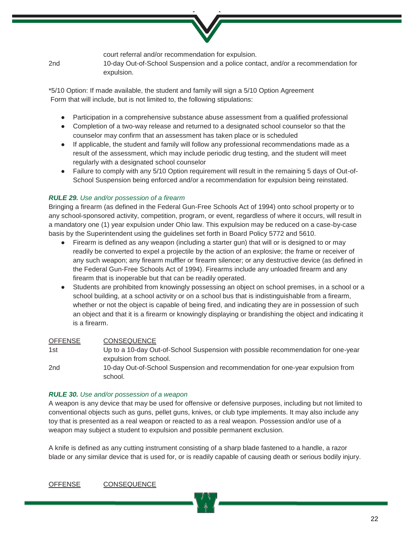

court referral and/or recommendation for expulsion.

2nd 10-day Out-of-School Suspension and a police contact, and/or a recommendation for expulsion.

\*5/10 Option: If made available, the student and family will sign a 5/10 Option Agreement Form that will include, but is not limited to, the following stipulations:

- Participation in a comprehensive substance abuse assessment from a qualified professional
- Completion of a two-way release and returned to a designated school counselor so that the counselor may confirm that an assessment has taken place or is scheduled
- If applicable, the student and family will follow any professional recommendations made as a result of the assessment, which may include periodic drug testing, and the student will meet regularly with a designated school counselor
- Failure to comply with any 5/10 Option requirement will result in the remaining 5 days of Out-of-School Suspension being enforced and/or a recommendation for expulsion being reinstated.

# *RULE 29. Use and/or possession of a firearm*

Bringing a firearm (as defined in the Federal Gun-Free Schools Act of 1994) onto school property or to any school-sponsored activity, competition, program, or event, regardless of where it occurs, will result in a mandatory one (1) year expulsion under Ohio law. This expulsion may be reduced on a case-by-case basis by the Superintendent using the guidelines set forth in Board Policy 5772 and 5610.

- Firearm is defined as any weapon (including a starter gun) that will or is designed to or may readily be converted to expel a projectile by the action of an explosive; the frame or receiver of any such weapon; any firearm muffler or firearm silencer; or any destructive device (as defined in the Federal Gun-Free Schools Act of 1994). Firearms include any unloaded firearm and any firearm that is inoperable but that can be readily operated.
- Students are prohibited from knowingly possessing an object on school premises, in a school or a school building, at a school activity or on a school bus that is indistinguishable from a firearm, whether or not the object is capable of being fired, and indicating they are in possession of such an object and that it is a firearm or knowingly displaying or brandishing the object and indicating it is a firearm.

# OFFENSE CONSEQUENCE

1st Up to a 10-day Out-of-School Suspension with possible recommendation for one-year expulsion from school.

2nd 10-day Out-of-School Suspension and recommendation for one-year expulsion from school.

# *RULE 30. Use and/or possession of a weapon*

A weapon is any device that may be used for offensive or defensive purposes, including but not limited to conventional objects such as guns, pellet guns, knives, or club type implements. It may also include any toy that is presented as a real weapon or reacted to as a real weapon. Possession and/or use of a weapon may subject a student to expulsion and possible permanent exclusion.

A knife is defined as any cutting instrument consisting of a sharp blade fastened to a handle, a razor blade or any similar device that is used for, or is readily capable of causing death or serious bodily injury.

OFFENSE CONSEQUENCE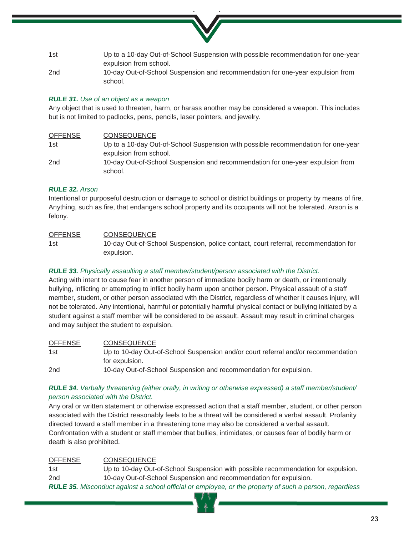

2nd 10-day Out-of-School Suspension and recommendation for one-year expulsion from school.

# *RULE 31. Use of an object as a weapon*

Any object that is used to threaten, harm, or harass another may be considered a weapon. This includes but is not limited to padlocks, pens, pencils, laser pointers, and jewelry.

| <b>OFFENSE</b>  | <b>CONSEQUENCE</b>                                                                |
|-----------------|-----------------------------------------------------------------------------------|
| 1st             | Up to a 10-day Out-of-School Suspension with possible recommendation for one-year |
|                 | expulsion from school.                                                            |
| 2 <sub>nd</sub> | 10-day Out-of-School Suspension and recommendation for one-year expulsion from    |
|                 | school.                                                                           |

# *RULE 32. Arson*

Intentional or purposeful destruction or damage to school or district buildings or property by means of fire. Anything, such as fire, that endangers school property and its occupants will not be tolerated. Arson is a felony.

OFFENSE CONSEQUENCE 1st 10-day Out-of-School Suspension, police contact, court referral, recommendation for expulsion.

# *RULE 33. Physically assaulting a staff member/student/person associated with the District.*

Acting with intent to cause fear in another person of immediate bodily harm or death, or intentionally bullying, inflicting or attempting to inflict bodily harm upon another person. Physical assault of a staff member, student, or other person associated with the District, regardless of whether it causes injury, will not be tolerated. Any intentional, harmful or potentially harmful physical contact or bullying initiated by a student against a staff member will be considered to be assault. Assault may result in criminal charges and may subject the student to expulsion.

OFFENSE CONSEQUENCE 1st Up to 10-day Out-of-School Suspension and/or court referral and/or recommendation for expulsion. 2nd 10-day Out-of-School Suspension and recommendation for expulsion.

# *RULE 34. Verbally threatening (either orally, in writing or otherwise expressed) a staff member/student/ person associated with the District.*

Any oral or written statement or otherwise expressed action that a staff member, student, or other person associated with the District reasonably feels to be a threat will be considered a verbal assault. Profanity directed toward a staff member in a threatening tone may also be considered a verbal assault. Confrontation with a student or staff member that bullies, intimidates, or causes fear of bodily harm or death is also prohibited.

# OFFENSE CONSEQUENCE

1st Up to 10-day Out-of-School Suspension with possible recommendation for expulsion. 2nd 10-day Out-of-School Suspension and recommendation for expulsion. *RULE 35. Misconduct against a school official or employee, or the property of such a person, regardless*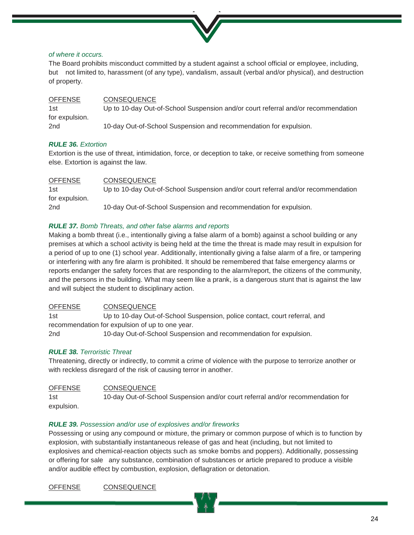

# *of where it occurs.*

The Board prohibits misconduct committed by a student against a school official or employee, including, but not limited to, harassment (of any type), vandalism, assault (verbal and/or physical), and destruction of property.

OFFENSE CONSEQUENCE 1st Up to 10-day Out-of-School Suspension and/or court referral and/or recommendation for expulsion. 2nd 10-day Out-of-School Suspension and recommendation for expulsion.

# *RULE 36. Extortion*

Extortion is the use of threat, intimidation, force, or deception to take, or receive something from someone else. Extortion is against the law.

| <b>OFFENSE</b>  | <b>CONSEQUENCE</b>                                                                |
|-----------------|-----------------------------------------------------------------------------------|
| 1st             | Up to 10-day Out-of-School Suspension and/or court referral and/or recommendation |
| for expulsion.  |                                                                                   |
| 2 <sub>nd</sub> | 10-day Out-of-School Suspension and recommendation for expulsion.                 |

# *RULE 37. Bomb Threats, and other false alarms and reports*

Making a bomb threat (i.e., intentionally giving a false alarm of a bomb) against a school building or any premises at which a school activity is being held at the time the threat is made may result in expulsion for a period of up to one (1) school year. Additionally, intentionally giving a false alarm of a fire, or tampering or interfering with any fire alarm is prohibited. It should be remembered that false emergency alarms or reports endanger the safety forces that are responding to the alarm/report, the citizens of the community, and the persons in the building. What may seem like a prank, is a dangerous stunt that is against the law and will subject the student to disciplinary action.

# OFFENSE CONSEQUENCE

1st Up to 10-day Out-of-School Suspension, police contact, court referral, and recommendation for expulsion of up to one year. 2nd 10-day Out-of-School Suspension and recommendation for expulsion.

# *RULE 38. Terroristic Threat*

Threatening, directly or indirectly, to commit a crime of violence with the purpose to terrorize another or with reckless disregard of the risk of causing terror in another.

# OFFENSE CONSEQUENCE 1st 10-day Out-of-School Suspension and/or court referral and/or recommendation for expulsion.

# *RULE 39. Possession and/or use of explosives and/or fireworks*

Possessing or using any compound or mixture, the primary or common purpose of which is to function by explosion, with substantially instantaneous release of gas and heat (including, but not limited to explosives and chemical-reaction objects such as smoke bombs and poppers). Additionally, possessing or offering for sale any substance, combination of substances or article prepared to produce a visible and/or audible effect by combustion, explosion, deflagration or detonation.

OFFENSE CONSEQUENCE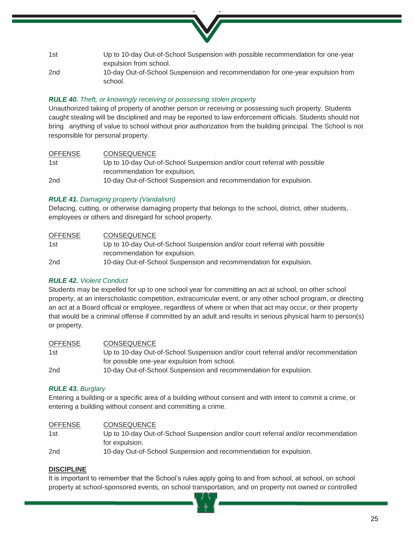- 1st Up to 10-day Out-of-School Suspension with possible recommendation for one-year expulsion from school.
- 2nd 10-day Out-of-School Suspension and recommendation for one-year expulsion from school.

# *RULE 40. Theft, or knowingly receiving or possessing stolen property*

Unauthorized taking of property of another person or receiving or possessing such property. Students caught stealing will be disciplined and may be reported to law enforcement officials. Students should not bring anything of value to school without prior authorization from the building principal. The School is not responsible for personal property.

#### OFFENSE CONSEQUENCE

| 1st | Up to 10-day Out-of-School Suspension and/or court referral with possible |
|-----|---------------------------------------------------------------------------|
|     | recommendation for expulsion.                                             |
| 2nd | 10-day Out-of-School Suspension and recommendation for expulsion.         |

# *RULE 41. Damaging property (Vandalism)*

Defacing, cutting, or otherwise damaging property that belongs to the school, district, other students, employees or others and disregard for school property.

| <b>OFFENSE</b> | <b>CONSEQUENCE</b>                                                        |
|----------------|---------------------------------------------------------------------------|
| 1st            | Up to 10-day Out-of-School Suspension and/or court referral with possible |
|                | recommendation for expulsion.                                             |
| 2nd            | 10-day Out-of-School Suspension and recommendation for expulsion.         |

# *RULE 42. Violent Conduct*

Students may be expelled for up to one school year for committing an act at school, on other school property, at an interscholastic competition, extracurricular event, or any other school program, or directing an act at a Board official or employee, regardless of where or when that act may occur, or their property that would be a criminal offense if committed by an adult and results in serious physical harm to person(s) or property.

# OFFENSE CONSEQUENCE

1st Up to 10-day Out-of-School Suspension and/or court referral and/or recommendation for possible one-year expulsion from school. 2nd 10-day Out-of-School Suspension and recommendation for expulsion.

# *RULE 43. Burglary*

Entering a building or a specific area of a building without consent and with intent to commit a crime, or entering a building without consent and committing a crime.

| <b>OFFENSE</b> | <b>CONSEQUENCE</b>                                                                |
|----------------|-----------------------------------------------------------------------------------|
| 1st            | Up to 10-day Out-of-School Suspension and/or court referral and/or recommendation |
|                | for expulsion.                                                                    |
| 2nd            | 10-day Out-of-School Suspension and recommendation for expulsion.                 |

# **DISCIPLINE**

It is important to remember that the School's rules apply going to and from school, at school, on school property at school-sponsored events, on school transportation, and on property not owned or controlled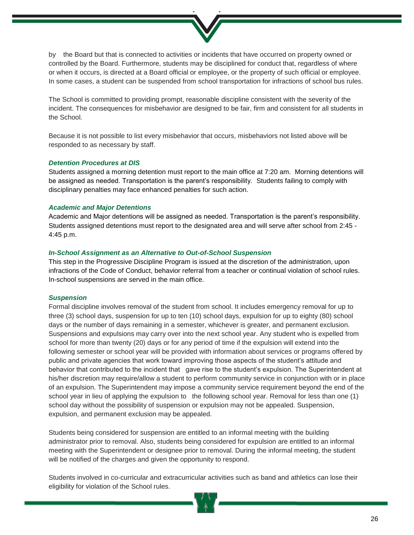by the Board but that is connected to activities or incidents that have occurred on property owned or controlled by the Board. Furthermore, students may be disciplined for conduct that, regardless of where or when it occurs, is directed at a Board official or employee, or the property of such official or employee. In some cases, a student can be suspended from school transportation for infractions of school bus rules.

The School is committed to providing prompt, reasonable discipline consistent with the severity of the incident. The consequences for misbehavior are designed to be fair, firm and consistent for all students in the School.

Because it is not possible to list every misbehavior that occurs, misbehaviors not listed above will be responded to as necessary by staff.

#### *Detention Procedures at DIS*

Students assigned a morning detention must report to the main office at 7:20 am. Morning detentions will be assigned as needed. Transportation is the parent's responsibility. Students failing to comply with disciplinary penalties may face enhanced penalties for such action.

#### *Academic and Major Detentions*

Academic and Major detentions will be assigned as needed. Transportation is the parent's responsibility. Students assigned detentions must report to the designated area and will serve after school from 2:45 - 4:45 p.m.

#### *In-School Assignment as an Alternative to Out-of-School Suspension*

This step in the Progressive Discipline Program is issued at the discretion of the administration, upon infractions of the Code of Conduct, behavior referral from a teacher or continual violation of school rules. In-school suspensions are served in the main office.

#### *Suspension*

Formal discipline involves removal of the student from school. It includes emergency removal for up to three (3) school days, suspension for up to ten (10) school days, expulsion for up to eighty (80) school days or the number of days remaining in a semester, whichever is greater, and permanent exclusion. Suspensions and expulsions may carry over into the next school year. Any student who is expelled from school for more than twenty (20) days or for any period of time if the expulsion will extend into the following semester or school year will be provided with information about services or programs offered by public and private agencies that work toward improving those aspects of the student's attitude and behavior that contributed to the incident that gave rise to the student's expulsion. The Superintendent at his/her discretion may require/allow a student to perform community service in conjunction with or in place of an expulsion. The Superintendent may impose a community service requirement beyond the end of the school year in lieu of applying the expulsion to the following school year. Removal for less than one (1) school day without the possibility of suspension or expulsion may not be appealed. Suspension, expulsion, and permanent exclusion may be appealed.

Students being considered for suspension are entitled to an informal meeting with the building administrator prior to removal. Also, students being considered for expulsion are entitled to an informal meeting with the Superintendent or designee prior to removal. During the informal meeting, the student will be notified of the charges and given the opportunity to respond.

Students involved in co-curricular and extracurricular activities such as band and athletics can lose their eligibility for violation of the School rules.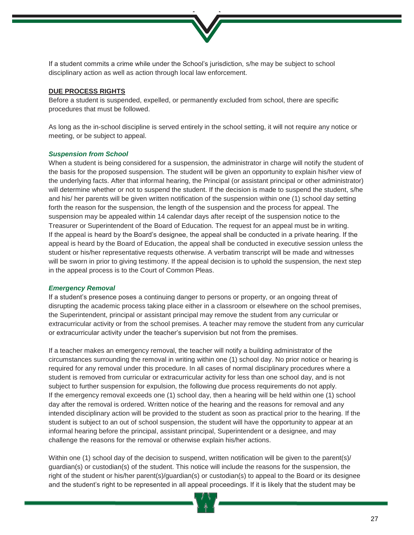

If a student commits a crime while under the School's jurisdiction, s/he may be subject to school disciplinary action as well as action through local law enforcement.

### **DUE PROCESS RIGHTS**

Before a student is suspended, expelled, or permanently excluded from school, there are specific procedures that must be followed.

As long as the in-school discipline is served entirely in the school setting, it will not require any notice or meeting, or be subject to appeal.

#### *Suspension from School*

When a student is being considered for a suspension, the administrator in charge will notify the student of the basis for the proposed suspension. The student will be given an opportunity to explain his/her view of the underlying facts. After that informal hearing, the Principal (or assistant principal or other administrator) will determine whether or not to suspend the student. If the decision is made to suspend the student, s/he and his/ her parents will be given written notification of the suspension within one (1) school day setting forth the reason for the suspension, the length of the suspension and the process for appeal. The suspension may be appealed within 14 calendar days after receipt of the suspension notice to the Treasurer or Superintendent of the Board of Education. The request for an appeal must be in writing. If the appeal is heard by the Board's designee, the appeal shall be conducted in a private hearing. If the appeal is heard by the Board of Education, the appeal shall be conducted in executive session unless the student or his/her representative requests otherwise. A verbatim transcript will be made and witnesses will be sworn in prior to giving testimony. If the appeal decision is to uphold the suspension, the next step in the appeal process is to the Court of Common Pleas.

#### *Emergency Removal*

If a student's presence poses a continuing danger to persons or property, or an ongoing threat of disrupting the academic process taking place either in a classroom or elsewhere on the school premises, the Superintendent, principal or assistant principal may remove the student from any curricular or extracurricular activity or from the school premises. A teacher may remove the student from any curricular or extracurricular activity under the teacher's supervision but not from the premises.

If a teacher makes an emergency removal, the teacher will notify a building administrator of the circumstances surrounding the removal in writing within one (1) school day. No prior notice or hearing is required for any removal under this procedure. In all cases of normal disciplinary procedures where a student is removed from curricular or extracurricular activity for less than one school day, and is not subject to further suspension for expulsion, the following due process requirements do not apply. If the emergency removal exceeds one (1) school day, then a hearing will be held within one (1) school day after the removal is ordered. Written notice of the hearing and the reasons for removal and any intended disciplinary action will be provided to the student as soon as practical prior to the hearing. If the student is subject to an out of school suspension, the student will have the opportunity to appear at an informal hearing before the principal, assistant principal, Superintendent or a designee, and may challenge the reasons for the removal or otherwise explain his/her actions.

Within one (1) school day of the decision to suspend, written notification will be given to the parent(s)/ guardian(s) or custodian(s) of the student. This notice will include the reasons for the suspension, the right of the student or his/her parent(s)/guardian(s) or custodian(s) to appeal to the Board or its designee and the student's right to be represented in all appeal proceedings. If it is likely that the student may be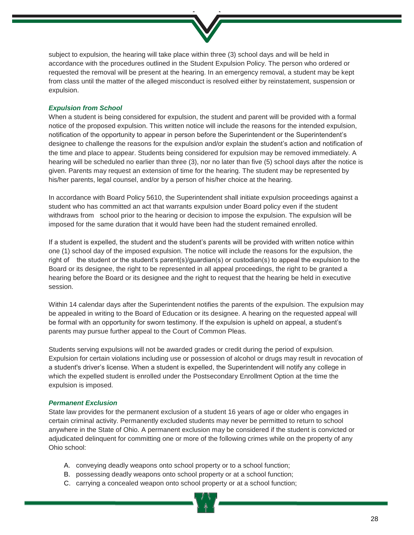

subject to expulsion, the hearing will take place within three (3) school days and will be held in accordance with the procedures outlined in the Student Expulsion Policy. The person who ordered or requested the removal will be present at the hearing. In an emergency removal, a student may be kept from class until the matter of the alleged misconduct is resolved either by reinstatement, suspension or expulsion.

# *Expulsion from School*

When a student is being considered for expulsion, the student and parent will be provided with a formal notice of the proposed expulsion. This written notice will include the reasons for the intended expulsion, notification of the opportunity to appear in person before the Superintendent or the Superintendent's designee to challenge the reasons for the expulsion and/or explain the student's action and notification of the time and place to appear. Students being considered for expulsion may be removed immediately. A hearing will be scheduled no earlier than three (3), nor no later than five (5) school days after the notice is given. Parents may request an extension of time for the hearing. The student may be represented by his/her parents, legal counsel, and/or by a person of his/her choice at the hearing.

In accordance with Board Policy 5610, the Superintendent shall initiate expulsion proceedings against a student who has committed an act that warrants expulsion under Board policy even if the student withdraws from school prior to the hearing or decision to impose the expulsion. The expulsion will be imposed for the same duration that it would have been had the student remained enrolled.

If a student is expelled, the student and the student's parents will be provided with written notice within one (1) school day of the imposed expulsion. The notice will include the reasons for the expulsion, the right of the student or the student's parent(s)/guardian(s) or custodian(s) to appeal the expulsion to the Board or its designee, the right to be represented in all appeal proceedings, the right to be granted a hearing before the Board or its designee and the right to request that the hearing be held in executive session.

Within 14 calendar days after the Superintendent notifies the parents of the expulsion. The expulsion may be appealed in writing to the Board of Education or its designee. A hearing on the requested appeal will be formal with an opportunity for sworn testimony. If the expulsion is upheld on appeal, a student's parents may pursue further appeal to the Court of Common Pleas.

Students serving expulsions will not be awarded grades or credit during the period of expulsion. Expulsion for certain violations including use or possession of alcohol or drugs may result in revocation of a student's driver's license. When a student is expelled, the Superintendent will notify any college in which the expelled student is enrolled under the Postsecondary Enrollment Option at the time the expulsion is imposed.

#### *Permanent Exclusion*

State law provides for the permanent exclusion of a student 16 years of age or older who engages in certain criminal activity. Permanently excluded students may never be permitted to return to school anywhere in the State of Ohio. A permanent exclusion may be considered if the student is convicted or adjudicated delinquent for committing one or more of the following crimes while on the property of any Ohio school:

- A. conveying deadly weapons onto school property or to a school function;
- B. possessing deadly weapons onto school property or at a school function;
- C. carrying a concealed weapon onto school property or at a school function;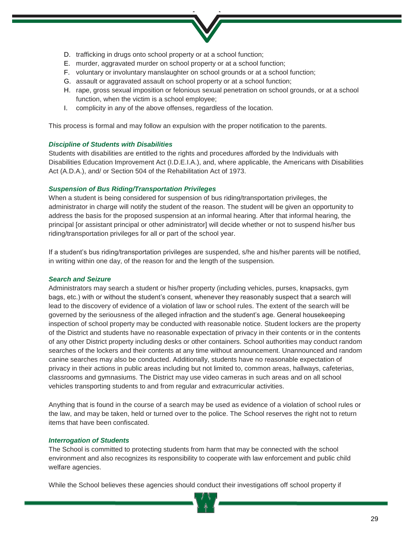- D. trafficking in drugs onto school property or at a school function;
- E. murder, aggravated murder on school property or at a school function;
- F. voluntary or involuntary manslaughter on school grounds or at a school function;
- G. assault or aggravated assault on school property or at a school function;
- H. rape, gross sexual imposition or felonious sexual penetration on school grounds, or at a school function, when the victim is a school employee;
- I. complicity in any of the above offenses, regardless of the location.

This process is formal and may follow an expulsion with the proper notification to the parents.

# *Discipline of Students with Disabilities*

Students with disabilities are entitled to the rights and procedures afforded by the Individuals with Disabilities Education Improvement Act (I.D.E.I.A.), and, where applicable, the Americans with Disabilities Act (A.D.A.), and/ or Section 504 of the Rehabilitation Act of 1973.

# *Suspension of Bus Riding/Transportation Privileges*

When a student is being considered for suspension of bus riding/transportation privileges, the administrator in charge will notify the student of the reason. The student will be given an opportunity to address the basis for the proposed suspension at an informal hearing. After that informal hearing, the principal [or assistant principal or other administrator] will decide whether or not to suspend his/her bus riding/transportation privileges for all or part of the school year.

If a student's bus riding/transportation privileges are suspended, s/he and his/her parents will be notified, in writing within one day, of the reason for and the length of the suspension.

#### *Search and Seizure*

Administrators may search a student or his/her property (including vehicles, purses, knapsacks, gym bags, etc.) with or without the student's consent, whenever they reasonably suspect that a search will lead to the discovery of evidence of a violation of law or school rules. The extent of the search will be governed by the seriousness of the alleged infraction and the student's age. General housekeeping inspection of school property may be conducted with reasonable notice. Student lockers are the property of the District and students have no reasonable expectation of privacy in their contents or in the contents of any other District property including desks or other containers. School authorities may conduct random searches of the lockers and their contents at any time without announcement. Unannounced and random canine searches may also be conducted. Additionally, students have no reasonable expectation of privacy in their actions in public areas including but not limited to, common areas, hallways, cafeterias, classrooms and gymnasiums. The District may use video cameras in such areas and on all school vehicles transporting students to and from regular and extracurricular activities.

Anything that is found in the course of a search may be used as evidence of a violation of school rules or the law, and may be taken, held or turned over to the police. The School reserves the right not to return items that have been confiscated.

# *Interrogation of Students*

The School is committed to protecting students from harm that may be connected with the school environment and also recognizes its responsibility to cooperate with law enforcement and public child welfare agencies.

While the School believes these agencies should conduct their investigations off school property if

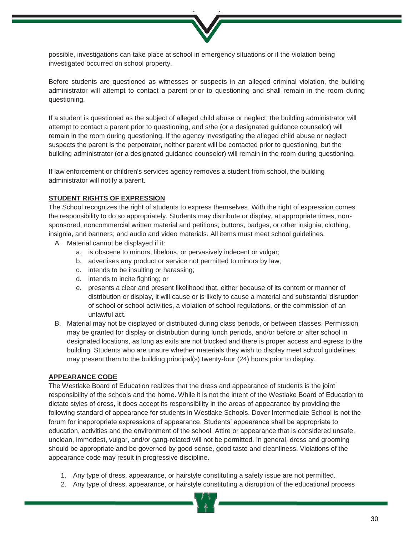possible, investigations can take place at school in emergency situations or if the violation being investigated occurred on school property.

Before students are questioned as witnesses or suspects in an alleged criminal violation, the building administrator will attempt to contact a parent prior to questioning and shall remain in the room during questioning.

If a student is questioned as the subject of alleged child abuse or neglect, the building administrator will attempt to contact a parent prior to questioning, and s/he (or a designated guidance counselor) will remain in the room during questioning. If the agency investigating the alleged child abuse or neglect suspects the parent is the perpetrator, neither parent will be contacted prior to questioning, but the building administrator (or a designated guidance counselor) will remain in the room during questioning.

If law enforcement or children's services agency removes a student from school, the building administrator will notify a parent.

# **STUDENT RIGHTS OF EXPRESSION**

The School recognizes the right of students to express themselves. With the right of expression comes the responsibility to do so appropriately. Students may distribute or display, at appropriate times, nonsponsored, noncommercial written material and petitions; buttons, badges, or other insignia; clothing, insignia, and banners; and audio and video materials. All items must meet school guidelines.

- A. Material cannot be displayed if it:
	- a. is obscene to minors, libelous, or pervasively indecent or vulgar;
	- b. advertises any product or service not permitted to minors by law;
	- c. intends to be insulting or harassing;
	- d. intends to incite fighting; or
	- e. presents a clear and present likelihood that, either because of its content or manner of distribution or display, it will cause or is likely to cause a material and substantial disruption of school or school activities, a violation of school regulations, or the commission of an unlawful act.
- B. Material may not be displayed or distributed during class periods, or between classes. Permission may be granted for display or distribution during lunch periods, and/or before or after school in designated locations, as long as exits are not blocked and there is proper access and egress to the building. Students who are unsure whether materials they wish to display meet school guidelines may present them to the building principal(s) twenty-four (24) hours prior to display.

#### **APPEARANCE CODE**

The Westlake Board of Education realizes that the dress and appearance of students is the joint responsibility of the schools and the home. While it is not the intent of the Westlake Board of Education to dictate styles of dress, it does accept its responsibility in the areas of appearance by providing the following standard of appearance for students in Westlake Schools. Dover Intermediate School is not the forum for inappropriate expressions of appearance. Students' appearance shall be appropriate to education, activities and the environment of the school. Attire or appearance that is considered unsafe, unclean, immodest, vulgar, and/or gang-related will not be permitted. In general, dress and grooming should be appropriate and be governed by good sense, good taste and cleanliness. Violations of the appearance code may result in progressive discipline.

- 1. Any type of dress, appearance, or hairstyle constituting a safety issue are not permitted.
- 2. Any type of dress, appearance, or hairstyle constituting a disruption of the educational process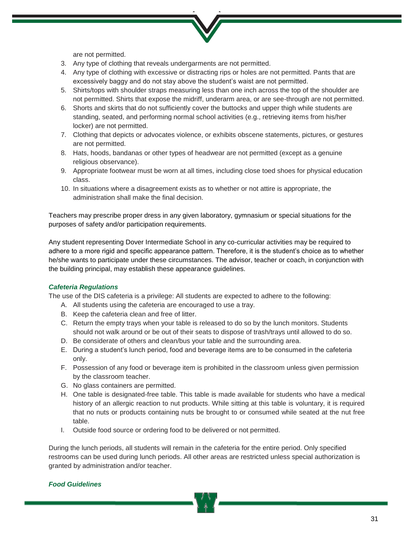are not permitted.

- 3. Any type of clothing that reveals undergarments are not permitted.
- 4. Any type of clothing with excessive or distracting rips or holes are not permitted. Pants that are excessively baggy and do not stay above the student's waist are not permitted.
- 5. Shirts/tops with shoulder straps measuring less than one inch across the top of the shoulder are not permitted. Shirts that expose the midriff, underarm area, or are see-through are not permitted.
- 6. Shorts and skirts that do not sufficiently cover the buttocks and upper thigh while students are standing, seated, and performing normal school activities (e.g., retrieving items from his/her locker) are not permitted.
- 7. Clothing that depicts or advocates violence, or exhibits obscene statements, pictures, or gestures are not permitted.
- 8. Hats, hoods, bandanas or other types of headwear are not permitted (except as a genuine religious observance).
- 9. Appropriate footwear must be worn at all times, including close toed shoes for physical education class.
- 10. In situations where a disagreement exists as to whether or not attire is appropriate, the administration shall make the final decision.

Teachers may prescribe proper dress in any given laboratory, gymnasium or special situations for the purposes of safety and/or participation requirements.

Any student representing Dover Intermediate School in any co-curricular activities may be required to adhere to a more rigid and specific appearance pattern. Therefore, it is the student's choice as to whether he/she wants to participate under these circumstances. The advisor, teacher or coach, in conjunction with the building principal, may establish these appearance guidelines.

# *Cafeteria Regulations*

The use of the DIS cafeteria is a privilege: All students are expected to adhere to the following:

- A. All students using the cafeteria are encouraged to use a tray.
- B. Keep the cafeteria clean and free of litter.
- C. Return the empty trays when your table is released to do so by the lunch monitors. Students should not walk around or be out of their seats to dispose of trash/trays until allowed to do so.
- D. Be considerate of others and clean/bus your table and the surrounding area.
- E. During a student's lunch period, food and beverage items are to be consumed in the cafeteria only.
- F. Possession of any food or beverage item is prohibited in the classroom unless given permission by the classroom teacher.
- G. No glass containers are permitted.
- H. One table is designated-free table. This table is made available for students who have a medical history of an allergic reaction to nut products. While sitting at this table is voluntary, it is required that no nuts or products containing nuts be brought to or consumed while seated at the nut free table.
- I. Outside food source or ordering food to be delivered or not permitted.

During the lunch periods, all students will remain in the cafeteria for the entire period. Only specified restrooms can be used during lunch periods. All other areas are restricted unless special authorization is granted by administration and/or teacher.

# *Food Guidelines*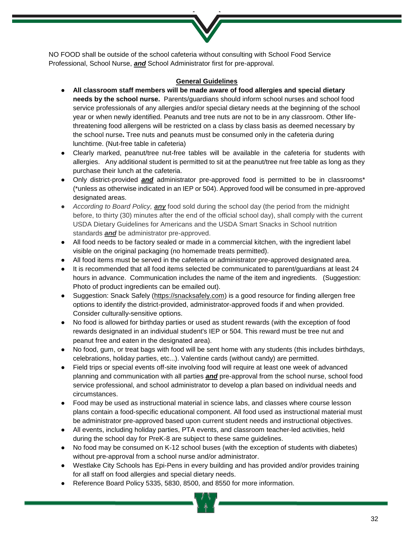NO FOOD shall be outside of the school cafeteria without consulting with School Food Service Professional, School Nurse, *and* School Administrator first for pre-approval.

### **General Guidelines**

- **All classroom staff members will be made aware of food allergies and special dietary needs by the school nurse.** Parents/guardians should inform school nurses and school food service professionals of any allergies and/or special dietary needs at the beginning of the school year or when newly identified. Peanuts and tree nuts are not to be in any classroom. Other lifethreatening food allergens will be restricted on a class by class basis as deemed necessary by the school nurse**.** Tree nuts and peanuts must be consumed only in the cafeteria during lunchtime. (Nut-free table in cafeteria)
- Clearly marked, peanut/tree nut-free tables will be available in the cafeteria for students with allergies. Any additional student is permitted to sit at the peanut/tree nut free table as long as they purchase their lunch at the cafeteria.
- Only district-provided *and* administrator pre-approved food is permitted to be in classrooms\* (\*unless as otherwise indicated in an IEP or 504). Approved food will be consumed in pre-approved designated areas.
- *According to Board Policy, any* food sold during the school day (the period from the midnight before, to thirty (30) minutes after the end of the official school day), shall comply with the current USDA Dietary Guidelines for Americans and the USDA Smart Snacks in School nutrition standards *and* be administrator pre-approved.
- All food needs to be factory sealed or made in a commercial kitchen, with the ingredient label visible on the original packaging (no homemade treats permitted).
- All food items must be served in the cafeteria or administrator pre-approved designated area.
- It is recommended that all food items selected be communicated to parent/guardians at least 24 hours in advance. Communication includes the name of the item and ingredients. (Suggestion: Photo of product ingredients can be emailed out).
- Suggestion: Snack Safely [\(https://snacksafely.com\)](https://snacksafely.com/) is a good resource for finding allergen free options to identify the district-provided, administrator-approved foods if and when provided. Consider culturally-sensitive options.
- No food is allowed for birthday parties or used as student rewards (with the exception of food rewards designated in an individual student's IEP or 504. This reward must be tree nut and peanut free and eaten in the designated area).
- No food, gum, or treat bags with food will be sent home with any students (this includes birthdays, celebrations, holiday parties, etc...). Valentine cards (without candy) are permitted.
- Field trips or special events off-site involving food will require at least one week of advanced planning and communication with all parties *and* pre-approval from the school nurse, school food service professional, and school administrator to develop a plan based on individual needs and circumstances.
- Food may be used as instructional material in science labs, and classes where course lesson plans contain a food-specific educational component. All food used as instructional material must be administrator pre-approved based upon current student needs and instructional objectives.
- All events, including holiday parties, PTA events, and classroom teacher-led activities, held during the school day for PreK-8 are subject to these same guidelines.
- No food may be consumed on K-12 school buses (with the exception of students with diabetes) without pre-approval from a school nurse and/or administrator.
- Westlake City Schools has Epi-Pens in every building and has provided and/or provides training for all staff on food allergies and special dietary needs.
- Reference Board Policy 5335, 5830, 8500, and 8550 for more information.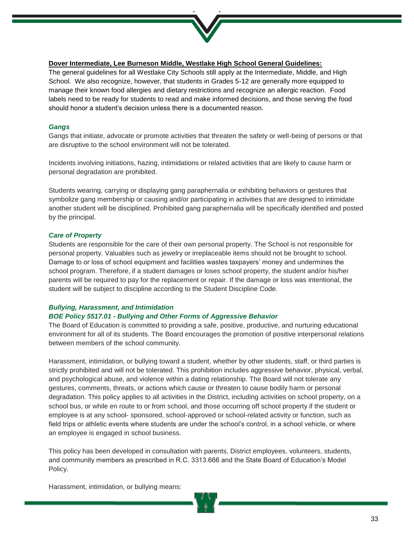

# **Dover Intermediate, Lee Burneson Middle, Westlake High School General Guidelines:**

The general guidelines for all Westlake City Schools still apply at the Intermediate, Middle, and High School. We also recognize, however, that students in Grades 5-12 are generally more equipped to manage their known food allergies and dietary restrictions and recognize an allergic reaction. Food labels need to be ready for students to read and make informed decisions, and those serving the food should honor a student's decision unless there is a documented reason.

# *Gangs*

Gangs that initiate, advocate or promote activities that threaten the safety or well-being of persons or that are disruptive to the school environment will not be tolerated.

Incidents involving initiations, hazing, intimidations or related activities that are likely to cause harm or personal degradation are prohibited.

Students wearing, carrying or displaying gang paraphernalia or exhibiting behaviors or gestures that symbolize gang membership or causing and/or participating in activities that are designed to intimidate another student will be disciplined. Prohibited gang paraphernalia will be specifically identified and posted by the principal.

#### *Care of Property*

Students are responsible for the care of their own personal property. The School is not responsible for personal property. Valuables such as jewelry or irreplaceable items should not be brought to school. Damage to or loss of school equipment and facilities wastes taxpayers' money and undermines the school program. Therefore, if a student damages or loses school property, the student and/or his/her parents will be required to pay for the replacement or repair. If the damage or loss was intentional, the student will be subject to discipline according to the Student Discipline Code.

#### *Bullying, Harassment, and Intimidation*

#### *BOE Policy 5517.01 - Bullying and Other Forms of Aggressive Behavior*

The Board of Education is committed to providing a safe, positive, productive, and nurturing educational environment for all of its students. The Board encourages the promotion of positive interpersonal relations between members of the school community.

Harassment, intimidation, or bullying toward a student, whether by other students, staff, or third parties is strictly prohibited and will not be tolerated. This prohibition includes aggressive behavior, physical, verbal, and psychological abuse, and violence within a dating relationship. The Board will not tolerate any gestures, comments, threats, or actions which cause or threaten to cause bodily harm or personal degradation. This policy applies to all activities in the District, including activities on school property, on a school bus, or while en route to or from school, and those occurring off school property if the student or employee is at any school- sponsored, school-approved or school-related activity or function, such as field trips or athletic events where students are under the school's control, in a school vehicle, or where an employee is engaged in school business.

This policy has been developed in consultation with parents, District employees, volunteers, students, and community members as prescribed in R.C. 3313.666 and the State Board of Education's Model Policy.

Harassment, intimidation, or bullying means: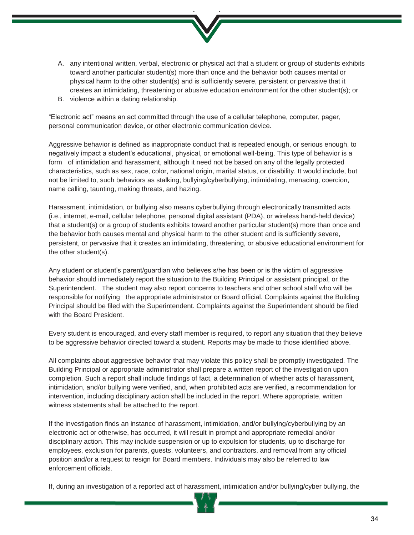

- A. any intentional written, verbal, electronic or physical act that a student or group of students exhibits toward another particular student(s) more than once and the behavior both causes mental or physical harm to the other student(s) and is sufficiently severe, persistent or pervasive that it creates an intimidating, threatening or abusive education environment for the other student(s); or
- B. violence within a dating relationship.

"Electronic act" means an act committed through the use of a cellular telephone, computer, pager, personal communication device, or other electronic communication device.

Aggressive behavior is defined as inappropriate conduct that is repeated enough, or serious enough, to negatively impact a student's educational, physical, or emotional well-being. This type of behavior is a form of intimidation and harassment, although it need not be based on any of the legally protected characteristics, such as sex, race, color, national origin, marital status, or disability. It would include, but not be limited to, such behaviors as stalking, bullying/cyberbullying, intimidating, menacing, coercion, name calling, taunting, making threats, and hazing.

Harassment, intimidation, or bullying also means cyberbullying through electronically transmitted acts (i.e., internet, e-mail, cellular telephone, personal digital assistant (PDA), or wireless hand-held device) that a student(s) or a group of students exhibits toward another particular student(s) more than once and the behavior both causes mental and physical harm to the other student and is sufficiently severe, persistent, or pervasive that it creates an intimidating, threatening, or abusive educational environment for the other student(s).

Any student or student's parent/guardian who believes s/he has been or is the victim of aggressive behavior should immediately report the situation to the Building Principal or assistant principal, or the Superintendent. The student may also report concerns to teachers and other school staff who will be responsible for notifying the appropriate administrator or Board official. Complaints against the Building Principal should be filed with the Superintendent. Complaints against the Superintendent should be filed with the Board President

Every student is encouraged, and every staff member is required, to report any situation that they believe to be aggressive behavior directed toward a student. Reports may be made to those identified above.

All complaints about aggressive behavior that may violate this policy shall be promptly investigated. The Building Principal or appropriate administrator shall prepare a written report of the investigation upon completion. Such a report shall include findings of fact, a determination of whether acts of harassment, intimidation, and/or bullying were verified, and, when prohibited acts are verified, a recommendation for intervention, including disciplinary action shall be included in the report. Where appropriate, written witness statements shall be attached to the report.

If the investigation finds an instance of harassment, intimidation, and/or bullying/cyberbullying by an electronic act or otherwise, has occurred, it will result in prompt and appropriate remedial and/or disciplinary action. This may include suspension or up to expulsion for students, up to discharge for employees, exclusion for parents, guests, volunteers, and contractors, and removal from any official position and/or a request to resign for Board members. Individuals may also be referred to law enforcement officials.

If, during an investigation of a reported act of harassment, intimidation and/or bullying/cyber bullying, the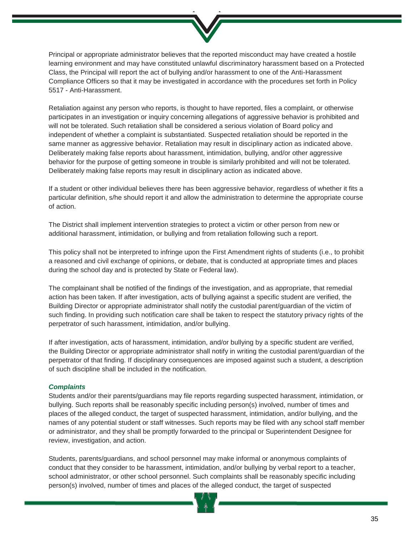

Principal or appropriate administrator believes that the reported misconduct may have created a hostile learning environment and may have constituted unlawful discriminatory harassment based on a Protected Class, the Principal will report the act of bullying and/or harassment to one of the Anti-Harassment Compliance Officers so that it may be investigated in accordance with the procedures set forth in Policy 5517 - Anti-Harassment.

Retaliation against any person who reports, is thought to have reported, files a complaint, or otherwise participates in an investigation or inquiry concerning allegations of aggressive behavior is prohibited and will not be tolerated. Such retaliation shall be considered a serious violation of Board policy and independent of whether a complaint is substantiated. Suspected retaliation should be reported in the same manner as aggressive behavior. Retaliation may result in disciplinary action as indicated above. Deliberately making false reports about harassment, intimidation, bullying, and/or other aggressive behavior for the purpose of getting someone in trouble is similarly prohibited and will not be tolerated. Deliberately making false reports may result in disciplinary action as indicated above.

If a student or other individual believes there has been aggressive behavior, regardless of whether it fits a particular definition, s/he should report it and allow the administration to determine the appropriate course of action.

The District shall implement intervention strategies to protect a victim or other person from new or additional harassment, intimidation, or bullying and from retaliation following such a report.

This policy shall not be interpreted to infringe upon the First Amendment rights of students (i.e., to prohibit a reasoned and civil exchange of opinions, or debate, that is conducted at appropriate times and places during the school day and is protected by State or Federal law).

The complainant shall be notified of the findings of the investigation, and as appropriate, that remedial action has been taken. If after investigation, acts of bullying against a specific student are verified, the Building Director or appropriate administrator shall notify the custodial parent/guardian of the victim of such finding. In providing such notification care shall be taken to respect the statutory privacy rights of the perpetrator of such harassment, intimidation, and/or bullying.

If after investigation, acts of harassment, intimidation, and/or bullying by a specific student are verified, the Building Director or appropriate administrator shall notify in writing the custodial parent/guardian of the perpetrator of that finding. If disciplinary consequences are imposed against such a student, a description of such discipline shall be included in the notification.

#### *Complaints*

Students and/or their parents/guardians may file reports regarding suspected harassment, intimidation, or bullying. Such reports shall be reasonably specific including person(s) involved, number of times and places of the alleged conduct, the target of suspected harassment, intimidation, and/or bullying, and the names of any potential student or staff witnesses. Such reports may be filed with any school staff member or administrator, and they shall be promptly forwarded to the principal or Superintendent Designee for review, investigation, and action.

Students, parents/guardians, and school personnel may make informal or anonymous complaints of conduct that they consider to be harassment, intimidation, and/or bullying by verbal report to a teacher, school administrator, or other school personnel. Such complaints shall be reasonably specific including person(s) involved, number of times and places of the alleged conduct, the target of suspected

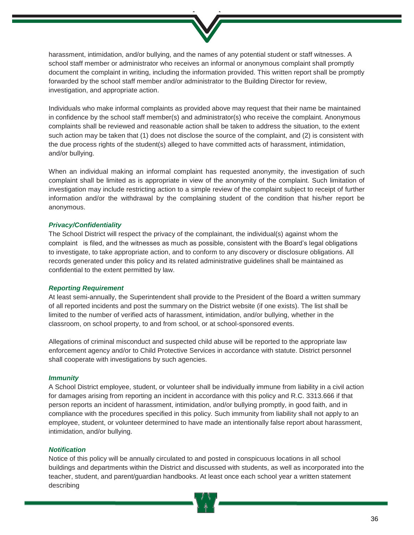

harassment, intimidation, and/or bullying, and the names of any potential student or staff witnesses. A school staff member or administrator who receives an informal or anonymous complaint shall promptly document the complaint in writing, including the information provided. This written report shall be promptly forwarded by the school staff member and/or administrator to the Building Director for review, investigation, and appropriate action.

Individuals who make informal complaints as provided above may request that their name be maintained in confidence by the school staff member(s) and administrator(s) who receive the complaint. Anonymous complaints shall be reviewed and reasonable action shall be taken to address the situation, to the extent such action may be taken that (1) does not disclose the source of the complaint, and (2) is consistent with the due process rights of the student(s) alleged to have committed acts of harassment, intimidation, and/or bullying.

When an individual making an informal complaint has requested anonymity, the investigation of such complaint shall be limited as is appropriate in view of the anonymity of the complaint. Such limitation of investigation may include restricting action to a simple review of the complaint subject to receipt of further information and/or the withdrawal by the complaining student of the condition that his/her report be anonymous.

#### *Privacy/Confidentiality*

The School District will respect the privacy of the complainant, the individual(s) against whom the complaint is filed, and the witnesses as much as possible, consistent with the Board's legal obligations to investigate, to take appropriate action, and to conform to any discovery or disclosure obligations. All records generated under this policy and its related administrative guidelines shall be maintained as confidential to the extent permitted by law.

#### *Reporting Requirement*

At least semi-annually, the Superintendent shall provide to the President of the Board a written summary of all reported incidents and post the summary on the District website (if one exists). The list shall be limited to the number of verified acts of harassment, intimidation, and/or bullying, whether in the classroom, on school property, to and from school, or at school-sponsored events.

Allegations of criminal misconduct and suspected child abuse will be reported to the appropriate law enforcement agency and/or to Child Protective Services in accordance with statute. District personnel shall cooperate with investigations by such agencies.

#### *Immunity*

A School District employee, student, or volunteer shall be individually immune from liability in a civil action for damages arising from reporting an incident in accordance with this policy and R.C. 3313.666 if that person reports an incident of harassment, intimidation, and/or bullying promptly, in good faith, and in compliance with the procedures specified in this policy. Such immunity from liability shall not apply to an employee, student, or volunteer determined to have made an intentionally false report about harassment, intimidation, and/or bullying.

#### *Notification*

Notice of this policy will be annually circulated to and posted in conspicuous locations in all school buildings and departments within the District and discussed with students, as well as incorporated into the teacher, student, and parent/guardian handbooks. At least once each school year a written statement describing

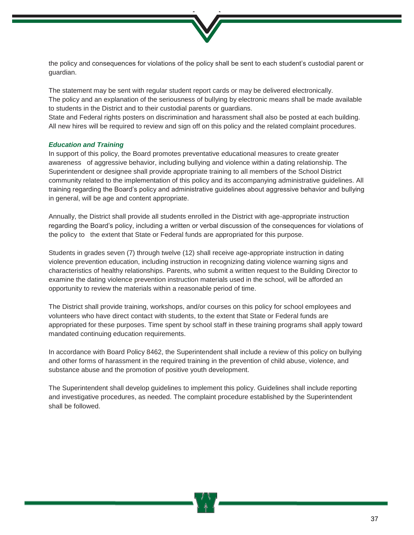

the policy and consequences for violations of the policy shall be sent to each student's custodial parent or guardian.

The statement may be sent with regular student report cards or may be delivered electronically. The policy and an explanation of the seriousness of bullying by electronic means shall be made available to students in the District and to their custodial parents or guardians.

State and Federal rights posters on discrimination and harassment shall also be posted at each building. All new hires will be required to review and sign off on this policy and the related complaint procedures.

# *Education and Training*

In support of this policy, the Board promotes preventative educational measures to create greater awareness of aggressive behavior, including bullying and violence within a dating relationship. The Superintendent or designee shall provide appropriate training to all members of the School District community related to the implementation of this policy and its accompanying administrative guidelines. All training regarding the Board's policy and administrative guidelines about aggressive behavior and bullying in general, will be age and content appropriate.

Annually, the District shall provide all students enrolled in the District with age-appropriate instruction regarding the Board's policy, including a written or verbal discussion of the consequences for violations of the policy to the extent that State or Federal funds are appropriated for this purpose.

Students in grades seven (7) through twelve (12) shall receive age-appropriate instruction in dating violence prevention education, including instruction in recognizing dating violence warning signs and characteristics of healthy relationships. Parents, who submit a written request to the Building Director to examine the dating violence prevention instruction materials used in the school, will be afforded an opportunity to review the materials within a reasonable period of time.

The District shall provide training, workshops, and/or courses on this policy for school employees and volunteers who have direct contact with students, to the extent that State or Federal funds are appropriated for these purposes. Time spent by school staff in these training programs shall apply toward mandated continuing education requirements.

In accordance with Board Policy 8462, the Superintendent shall include a review of this policy on bullying and other forms of harassment in the required training in the prevention of child abuse, violence, and substance abuse and the promotion of positive youth development.

The Superintendent shall develop guidelines to implement this policy. Guidelines shall include reporting and investigative procedures, as needed. The complaint procedure established by the Superintendent shall be followed.

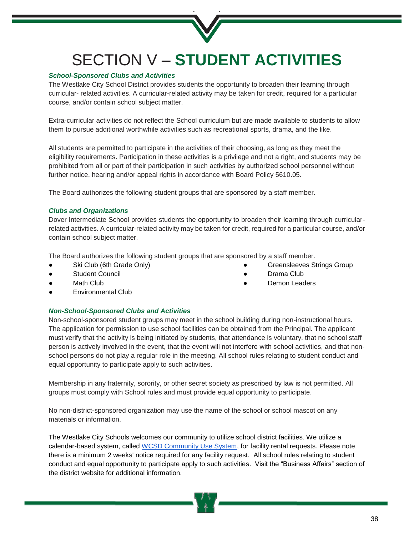# SECTION V – **STUDENT ACTIVITIES**

# *School-Sponsored Clubs and Activities*

The Westlake City School District provides students the opportunity to broaden their learning through curricular- related activities. A curricular-related activity may be taken for credit, required for a particular course, and/or contain school subject matter.

Extra-curricular activities do not reflect the School curriculum but are made available to students to allow them to pursue additional worthwhile activities such as recreational sports, drama, and the like.

All students are permitted to participate in the activities of their choosing, as long as they meet the eligibility requirements. Participation in these activities is a privilege and not a right, and students may be prohibited from all or part of their participation in such activities by authorized school personnel without further notice, hearing and/or appeal rights in accordance with Board Policy 5610.05.

The Board authorizes the following student groups that are sponsored by a staff member.

# *Clubs and Organizations*

Dover Intermediate School provides students the opportunity to broaden their learning through curricularrelated activities. A curricular-related activity may be taken for credit, required for a particular course, and/or contain school subject matter.

Greensleeves Strings Group

Drama Club Demon Leaders

The Board authorizes the following student groups that are sponsored by a staff member.

- Ski Club (6th Grade Only)
- **Student Council**
- **Math Club**
- Environmental Club

# *Non-School-Sponsored Clubs and Activities*

Non-school-sponsored student groups may meet in the school building during non-instructional hours. The application for permission to use school facilities can be obtained from the Principal. The applicant must verify that the activity is being initiated by students, that attendance is voluntary, that no school staff person is actively involved in the event, that the event will not interfere with school activities, and that nonschool persons do not play a regular role in the meeting. All school rules relating to student conduct and equal opportunity to participate apply to such activities.

Membership in any fraternity, sorority, or other secret society as prescribed by law is not permitted. All groups must comply with School rules and must provide equal opportunity to participate.

No non-district-sponsored organization may use the name of the school or school mascot on any materials or information.

The Westlake City Schools welcomes our community to utilize school district facilities. We utilize a calendar-based system, called [WCSD Community Use System,](https://www.communityuse.com/SOA.NET/Controllers/PageController.aspx?productid=MC&pageid=CalendarMonth) for facility rental requests. Please note there is a minimum 2 weeks' notice required for any facility request. All school rules relating to student conduct and equal opportunity to participate apply to such activities. Visit the "Business Affairs" section of the district website for additional information.

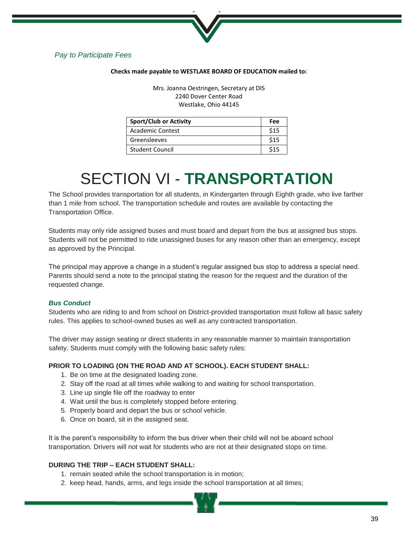

# *Pay to Participate Fees*

#### **Checks made payable to WESTLAKE BOARD OF EDUCATION mailed to:**

Mrs. Joanna Oestringen, Secretary at DIS 2240 Dover Center Road Westlake, Ohio 44145

| <b>Sport/Club or Activity</b> | Fee  |
|-------------------------------|------|
| <b>Academic Contest</b>       | \$15 |
| Greensleeves                  | \$15 |
| <b>Student Council</b>        | \$15 |

# SECTION VI - **TRANSPORTATION**

The School provides transportation for all students, in Kindergarten through Eighth grade, who live farther than 1 mile from school. The transportation schedule and routes are available by contacting the Transportation Office.

Students may only ride assigned buses and must board and depart from the bus at assigned bus stops. Students will not be permitted to ride unassigned buses for any reason other than an emergency, except as approved by the Principal.

The principal may approve a change in a student's regular assigned bus stop to address a special need. Parents should send a note to the principal stating the reason for the request and the duration of the requested change.

# *Bus Conduct*

Students who are riding to and from school on District-provided transportation must follow all basic safety rules. This applies to school-owned buses as well as any contracted transportation.

The driver may assign seating or direct students in any reasonable manner to maintain transportation safety. Students must comply with the following basic safety rules:

# **PRIOR TO LOADING (ON THE ROAD AND AT SCHOOL). EACH STUDENT SHALL:**

- 1. Be on time at the designated loading zone.
- 2. Stay off the road at all times while walking to and waiting for school transportation.
- 3. Line up single file off the roadway to enter
- 4. Wait until the bus is completely stopped before entering.
- 5. Properly board and depart the bus or school vehicle.
- 6. Once on board, sit in the assigned seat.

It is the parent's responsibility to inform the bus driver when their child will not be aboard school transportation. Drivers will not wait for students who are not at their designated stops on time.

# **DURING THE TRIP – EACH STUDENT SHALL:**

- 1. remain seated while the school transportation is in motion;
- 2. keep head, hands, arms, and legs inside the school transportation at all times;

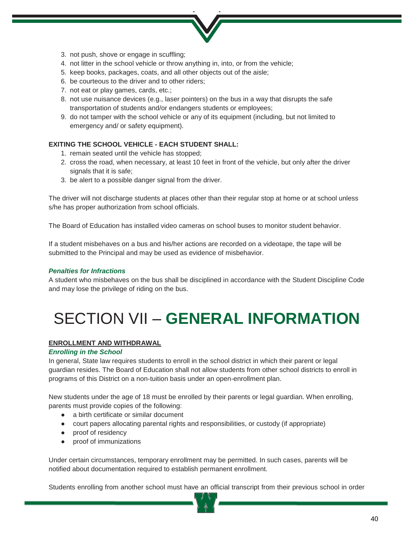- 
- 3. not push, shove or engage in scuffling;
- 4. not litter in the school vehicle or throw anything in, into, or from the vehicle;
- 5. keep books, packages, coats, and all other objects out of the aisle;
- 6. be courteous to the driver and to other riders;
- 7. not eat or play games, cards, etc.;
- 8. not use nuisance devices (e.g., laser pointers) on the bus in a way that disrupts the safe transportation of students and/or endangers students or employees;
- 9. do not tamper with the school vehicle or any of its equipment (including, but not limited to emergency and/ or safety equipment).

# **EXITING THE SCHOOL VEHICLE - EACH STUDENT SHALL:**

- 1. remain seated until the vehicle has stopped;
- 2. cross the road, when necessary, at least 10 feet in front of the vehicle, but only after the driver signals that it is safe;
- 3. be alert to a possible danger signal from the driver.

The driver will not discharge students at places other than their regular stop at home or at school unless s/he has proper authorization from school officials.

The Board of Education has installed video cameras on school buses to monitor student behavior.

If a student misbehaves on a bus and his/her actions are recorded on a videotape, the tape will be submitted to the Principal and may be used as evidence of misbehavior.

# *Penalties for Infractions*

A student who misbehaves on the bus shall be disciplined in accordance with the Student Discipline Code and may lose the privilege of riding on the bus.

# SECTION VII – **GENERAL INFORMATION**

# **ENROLLMENT AND WITHDRAWAL**

# *Enrolling in the School*

In general, State law requires students to enroll in the school district in which their parent or legal guardian resides. The Board of Education shall not allow students from other school districts to enroll in programs of this District on a non-tuition basis under an open-enrollment plan.

New students under the age of 18 must be enrolled by their parents or legal guardian. When enrolling, parents must provide copies of the following:

- a birth certificate or similar document
- court papers allocating parental rights and responsibilities, or custody (if appropriate)
- proof of residency
- proof of immunizations

Under certain circumstances, temporary enrollment may be permitted. In such cases, parents will be notified about documentation required to establish permanent enrollment.

Students enrolling from another school must have an official transcript from their previous school in order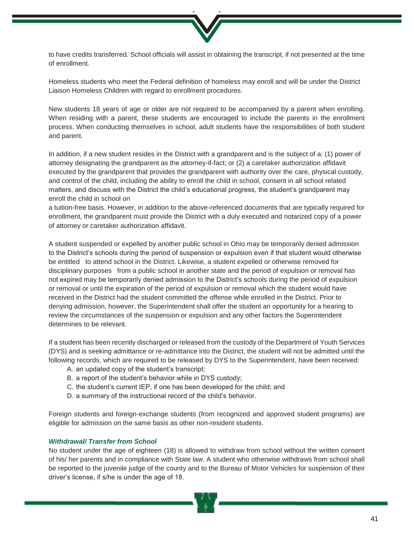

to have credits transferred. School officials will assist in obtaining the transcript, if not presented at the time of enrollment.

Homeless students who meet the Federal definition of homeless may enroll and will be under the District Liaison Homeless Children with regard to enrollment procedures.

New students 18 years of age or older are not required to be accompanied by a parent when enrolling. When residing with a parent, these students are encouraged to include the parents in the enrollment process. When conducting themselves in school, adult students have the responsibilities of both student and parent.

In addition, if a new student resides in the District with a grandparent and is the subject of a: (1) power of attorney designating the grandparent as the attorney-if-fact; or (2) a caretaker authorization affidavit executed by the grandparent that provides the grandparent with authority over the care, physical custody, and control of the child, including the ability to enroll the child in school, consent in all school related matters, and discuss with the District the child's educational progress, the student's grandparent may enroll the child in school on

a tuition-free basis. However, in addition to the above-referenced documents that are typically required for enrollment, the grandparent must provide the District with a duly executed and notarized copy of a power of attorney or caretaker authorization affidavit.

A student suspended or expelled by another public school in Ohio may be temporarily denied admission to the District's schools during the period of suspension or expulsion even if that student would otherwise be entitled to attend school in the District. Likewise, a student expelled or otherwise removed for disciplinary purposes from a public school in another state and the period of expulsion or removal has not expired may be temporarily denied admission to the District's schools during the period of expulsion or removal or until the expiration of the period of expulsion or removal which the student would have received in the District had the student committed the offense while enrolled in the District. Prior to denying admission, however, the Superintendent shall offer the student an opportunity for a hearing to review the circumstances of the suspension or expulsion and any other factors the Superintendent determines to be relevant.

If a student has been recently discharged or released from the custody of the Department of Youth Services (DYS) and is seeking admittance or re-admittance into the District, the student will not be admitted until the following records, which are required to be released by DYS to the Superintendent, have been received:

- A. an updated copy of the student's transcript;
- B. a report of the student's behavior while in DYS custody;
- C. the student's current IEP, if one has been developed for the child; and
- D. a summary of the instructional record of the child's behavior.

Foreign students and foreign-exchange students (from recognized and approved student programs) are eligible for admission on the same basis as other non-resident students.

#### *Withdrawal/ Transfer from School*

No student under the age of eighteen (18) is allowed to withdraw from school without the written consent of his/ her parents and in compliance with State law. A student who otherwise withdraws from school shall be reported to the juvenile judge of the county and to the Bureau of Motor Vehicles for suspension of their driver's license, if s/he is under the age of 18.

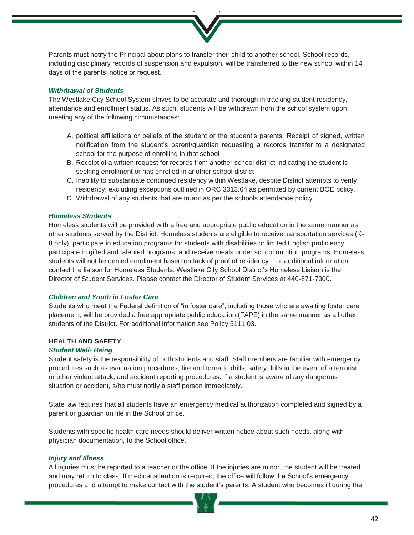Parents must notify the Principal about plans to transfer their child to another school. School records, including disciplinary records of suspension and expulsion, will be transferred to the new school within 14 days of the parents' notice or request.

#### *Withdrawal of Students*

The Westlake City School System strives to be accurate and thorough in tracking student residency, attendance and enrollment status. As such, students will be withdrawn from the school system upon meeting any of the following circumstances:

- A. political affiliations or beliefs of the student or the student's parents; Receipt of signed, written notification from the student's parent/guardian requesting a records transfer to a designated school for the purpose of enrolling in that school
- B. Receipt of a written request for records from another school district indicating the student is seeking enrollment or has enrolled in another school district
- C. Inability to substantiate continued residency within Westlake, despite District attempts to verify residency, excluding exceptions outlined in ORC 3313.64 as permitted by current BOE policy.
- D. Withdrawal of any students that are truant as per the schools attendance policy.

#### *Homeless Students*

Homeless students will be provided with a free and appropriate public education in the same manner as other students served by the District. Homeless students are eligible to receive transportation services (K-8 only), participate in education programs for students with disabilities or limited English proficiency, participate in gifted and talented programs, and receive meals under school nutrition programs. Homeless students will not be denied enrollment based on lack of proof of residency. For additional information contact the liaison for Homeless Students. Westlake City School District's Homeless Liaison is the Director of Student Services. Please contact the Director of Student Services at 440-871-7300.

# *Children and Youth in Foster Care*

Students who meet the Federal definition of "in foster care", including those who are awaiting foster care placement, will be provided a free appropriate public education (FAPE) in the same manner as all other students of the District. For additional information see Policy 5111.03.

#### **HEALTH AND SAFETY**

#### *Student Well- Being*

Student safety is the responsibility of both students and staff. Staff members are familiar with emergency procedures such as evacuation procedures, fire and tornado drills, safety drills in the event of a terrorist or other violent attack, and accident reporting procedures. If a student is aware of any dangerous situation or accident, s/he must notify a staff person immediately.

State law requires that all students have an emergency medical authorization completed and signed by a parent or guardian on file in the School office.

Students with specific health care needs should deliver written notice about such needs, along with physician documentation, to the School office.

#### *Injury and Illness*

All injuries must be reported to a teacher or the office. If the injuries are minor, the student will be treated and may return to class. If medical attention is required, the office will follow the School's emergency procedures and attempt to make contact with the student's parents. A student who becomes ill during the

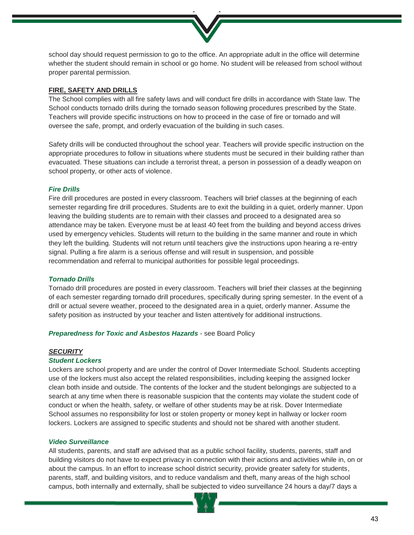

school day should request permission to go to the office. An appropriate adult in the office will determine whether the student should remain in school or go home. No student will be released from school without proper parental permission.

#### **FIRE, SAFETY AND DRILLS**

The School complies with all fire safety laws and will conduct fire drills in accordance with State law. The School conducts tornado drills during the tornado season following procedures prescribed by the State. Teachers will provide specific instructions on how to proceed in the case of fire or tornado and will oversee the safe, prompt, and orderly evacuation of the building in such cases.

Safety drills will be conducted throughout the school year. Teachers will provide specific instruction on the appropriate procedures to follow in situations where students must be secured in their building rather than evacuated. These situations can include a terrorist threat, a person in possession of a deadly weapon on school property, or other acts of violence.

# *Fire Drills*

Fire drill procedures are posted in every classroom. Teachers will brief classes at the beginning of each semester regarding fire drill procedures. Students are to exit the building in a quiet, orderly manner. Upon leaving the building students are to remain with their classes and proceed to a designated area so attendance may be taken. Everyone must be at least 40 feet from the building and beyond access drives used by emergency vehicles. Students will return to the building in the same manner and route in which they left the building. Students will not return until teachers give the instructions upon hearing a re-entry signal. Pulling a fire alarm is a serious offense and will result in suspension, and possible recommendation and referral to municipal authorities for possible legal proceedings.

# *Tornado Drills*

Tornado drill procedures are posted in every classroom. Teachers will brief their classes at the beginning of each semester regarding tornado drill procedures, specifically during spring semester. In the event of a drill or actual severe weather, proceed to the designated area in a quiet, orderly manner. Assume the safety position as instructed by your teacher and listen attentively for additional instructions.

#### *Preparedness for Toxic and Asbestos Hazards* - see Board Policy

#### *SECURITY*

#### *Student Lockers*

Lockers are school property and are under the control of Dover Intermediate School. Students accepting use of the lockers must also accept the related responsibilities, including keeping the assigned locker clean both inside and outside. The contents of the locker and the student belongings are subjected to a search at any time when there is reasonable suspicion that the contents may violate the student code of conduct or when the health, safety, or welfare of other students may be at risk. Dover Intermediate School assumes no responsibility for lost or stolen property or money kept in hallway or locker room lockers. Lockers are assigned to specific students and should not be shared with another student.

#### *Video Surveillance*

All students, parents, and staff are advised that as a public school facility, students, parents, staff and building visitors do not have to expect privacy in connection with their actions and activities while in, on or about the campus. In an effort to increase school district security, provide greater safety for students, parents, staff, and building visitors, and to reduce vandalism and theft, many areas of the high school campus, both internally and externally, shall be subjected to video surveillance 24 hours a day/7 days a

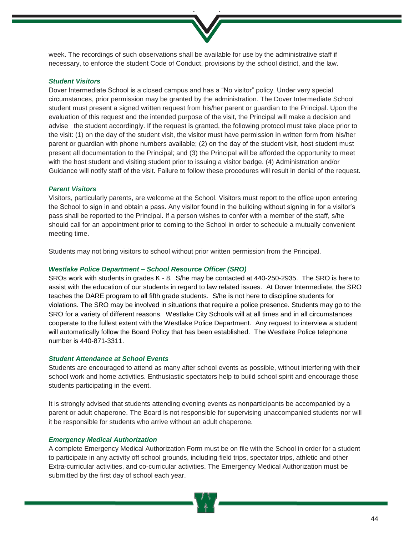week. The recordings of such observations shall be available for use by the administrative staff if necessary, to enforce the student Code of Conduct, provisions by the school district, and the law.

#### *Student Visitors*

Dover Intermediate School is a closed campus and has a "No visitor" policy. Under very special circumstances, prior permission may be granted by the administration. The Dover Intermediate School student must present a signed written request from his/her parent or guardian to the Principal. Upon the evaluation of this request and the intended purpose of the visit, the Principal will make a decision and advise the student accordingly. If the request is granted, the following protocol must take place prior to the visit: (1) on the day of the student visit, the visitor must have permission in written form from his/her parent or guardian with phone numbers available; (2) on the day of the student visit, host student must present all documentation to the Principal; and (3) the Principal will be afforded the opportunity to meet with the host student and visiting student prior to issuing a visitor badge. (4) Administration and/or Guidance will notify staff of the visit. Failure to follow these procedures will result in denial of the request.

#### *Parent Visitors*

Visitors, particularly parents, are welcome at the School. Visitors must report to the office upon entering the School to sign in and obtain a pass. Any visitor found in the building without signing in for a visitor's pass shall be reported to the Principal. If a person wishes to confer with a member of the staff, s/he should call for an appointment prior to coming to the School in order to schedule a mutually convenient meeting time.

Students may not bring visitors to school without prior written permission from the Principal.

#### *Westlake Police Department – School Resource Officer (SRO)*

SROs work with students in grades K - 8. S/he may be contacted at 440-250-2935. The SRO is here to assist with the education of our students in regard to law related issues. At Dover Intermediate, the SRO teaches the DARE program to all fifth grade students. S/he is not here to discipline students for violations. The SRO may be involved in situations that require a police presence. Students may go to the SRO for a variety of different reasons. Westlake City Schools will at all times and in all circumstances cooperate to the fullest extent with the Westlake Police Department. Any request to interview a student will automatically follow the Board Policy that has been established. The Westlake Police telephone number is 440-871-3311.

#### *Student Attendance at School Events*

Students are encouraged to attend as many after school events as possible, without interfering with their school work and home activities. Enthusiastic spectators help to build school spirit and encourage those students participating in the event.

It is strongly advised that students attending evening events as nonparticipants be accompanied by a parent or adult chaperone. The Board is not responsible for supervising unaccompanied students nor will it be responsible for students who arrive without an adult chaperone.

#### *Emergency Medical Authorization*

A complete Emergency Medical Authorization Form must be on file with the School in order for a student to participate in any activity off school grounds, including field trips, spectator trips, athletic and other Extra-curricular activities, and co-curricular activities. The Emergency Medical Authorization must be submitted by the first day of school each year.

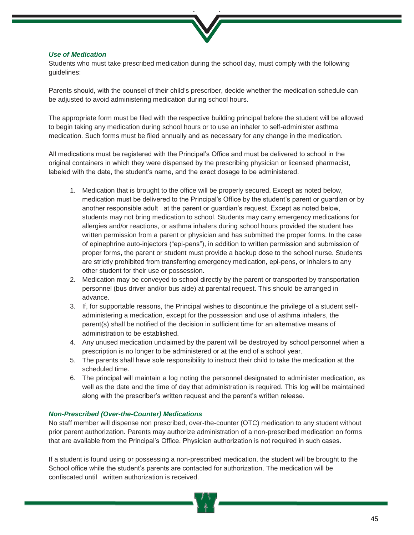

# *Use of Medication*

Students who must take prescribed medication during the school day, must comply with the following guidelines:

Parents should, with the counsel of their child's prescriber, decide whether the medication schedule can be adjusted to avoid administering medication during school hours.

The appropriate form must be filed with the respective building principal before the student will be allowed to begin taking any medication during school hours or to use an inhaler to self-administer asthma medication. Such forms must be filed annually and as necessary for any change in the medication.

All medications must be registered with the Principal's Office and must be delivered to school in the original containers in which they were dispensed by the prescribing physician or licensed pharmacist, labeled with the date, the student's name, and the exact dosage to be administered.

- 1. Medication that is brought to the office will be properly secured. Except as noted below, medication must be delivered to the Principal's Office by the student's parent or guardian or by another responsible adult at the parent or guardian's request. Except as noted below, students may not bring medication to school. Students may carry emergency medications for allergies and/or reactions, or asthma inhalers during school hours provided the student has written permission from a parent or physician and has submitted the proper forms. In the case of epinephrine auto-injectors ("epi-pens"), in addition to written permission and submission of proper forms, the parent or student must provide a backup dose to the school nurse. Students are strictly prohibited from transferring emergency medication, epi-pens, or inhalers to any other student for their use or possession.
- 2. Medication may be conveyed to school directly by the parent or transported by transportation personnel (bus driver and/or bus aide) at parental request. This should be arranged in advance.
- 3. If, for supportable reasons, the Principal wishes to discontinue the privilege of a student selfadministering a medication, except for the possession and use of asthma inhalers, the parent(s) shall be notified of the decision in sufficient time for an alternative means of administration to be established.
- 4. Any unused medication unclaimed by the parent will be destroyed by school personnel when a prescription is no longer to be administered or at the end of a school year.
- 5. The parents shall have sole responsibility to instruct their child to take the medication at the scheduled time.
- 6. The principal will maintain a log noting the personnel designated to administer medication, as well as the date and the time of day that administration is required. This log will be maintained along with the prescriber's written request and the parent's written release.

#### *Non-Prescribed (Over-the-Counter) Medications*

No staff member will dispense non prescribed, over-the-counter (OTC) medication to any student without prior parent authorization. Parents may authorize administration of a non-prescribed medication on forms that are available from the Principal's Office. Physician authorization is not required in such cases.

If a student is found using or possessing a non-prescribed medication, the student will be brought to the School office while the student's parents are contacted for authorization. The medication will be confiscated until written authorization is received.

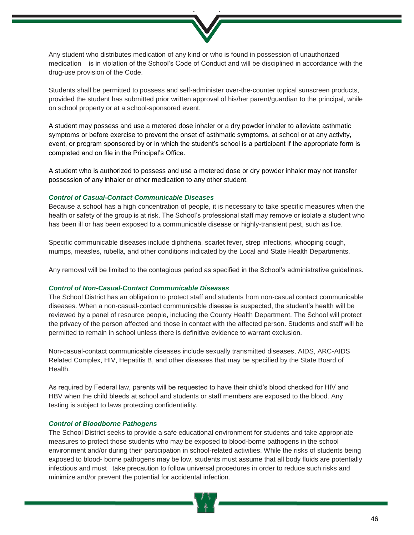Any student who distributes medication of any kind or who is found in possession of unauthorized medication is in violation of the School's Code of Conduct and will be disciplined in accordance with the drug-use provision of the Code.

Students shall be permitted to possess and self-administer over-the-counter topical sunscreen products, provided the student has submitted prior written approval of his/her parent/guardian to the principal, while on school property or at a school-sponsored event.

A student may possess and use a metered dose inhaler or a dry powder inhaler to alleviate asthmatic symptoms or before exercise to prevent the onset of asthmatic symptoms, at school or at any activity, event, or program sponsored by or in which the student's school is a participant if the appropriate form is completed and on file in the Principal's Office.

A student who is authorized to possess and use a metered dose or dry powder inhaler may not transfer possession of any inhaler or other medication to any other student.

#### *Control of Casual-Contact Communicable Diseases*

Because a school has a high concentration of people, it is necessary to take specific measures when the health or safety of the group is at risk. The School's professional staff may remove or isolate a student who has been ill or has been exposed to a communicable disease or highly-transient pest, such as lice.

Specific communicable diseases include diphtheria, scarlet fever, strep infections, whooping cough, mumps, measles, rubella, and other conditions indicated by the Local and State Health Departments.

Any removal will be limited to the contagious period as specified in the School's administrative guidelines.

#### *Control of Non-Casual-Contact Communicable Diseases*

The School District has an obligation to protect staff and students from non-casual contact communicable diseases. When a non-casual-contact communicable disease is suspected, the student's health will be reviewed by a panel of resource people, including the County Health Department. The School will protect the privacy of the person affected and those in contact with the affected person. Students and staff will be permitted to remain in school unless there is definitive evidence to warrant exclusion.

Non-casual-contact communicable diseases include sexually transmitted diseases, AIDS, ARC-AIDS Related Complex, HIV, Hepatitis B, and other diseases that may be specified by the State Board of Health.

As required by Federal law, parents will be requested to have their child's blood checked for HIV and HBV when the child bleeds at school and students or staff members are exposed to the blood. Any testing is subject to laws protecting confidentiality.

#### *Control of Bloodborne Pathogens*

The School District seeks to provide a safe educational environment for students and take appropriate measures to protect those students who may be exposed to blood-borne pathogens in the school environment and/or during their participation in school-related activities. While the risks of students being exposed to blood- borne pathogens may be low, students must assume that all body fluids are potentially infectious and must take precaution to follow universal procedures in order to reduce such risks and minimize and/or prevent the potential for accidental infection.

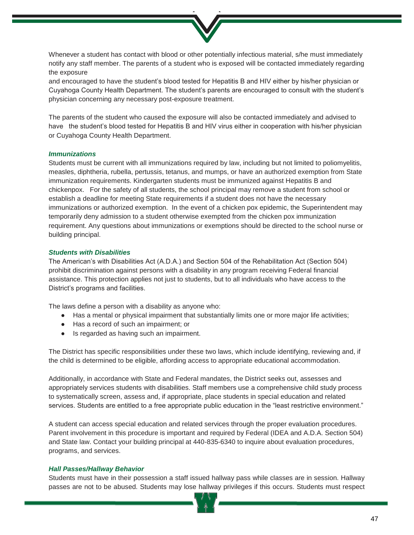Whenever a student has contact with blood or other potentially infectious material, s/he must immediately notify any staff member. The parents of a student who is exposed will be contacted immediately regarding the exposure

and encouraged to have the student's blood tested for Hepatitis B and HIV either by his/her physician or Cuyahoga County Health Department. The student's parents are encouraged to consult with the student's physician concerning any necessary post-exposure treatment.

The parents of the student who caused the exposure will also be contacted immediately and advised to have the student's blood tested for Hepatitis B and HIV virus either in cooperation with his/her physician or Cuyahoga County Health Department.

#### *Immunizations*

Students must be current with all immunizations required by law, including but not limited to poliomyelitis, measles, diphtheria, rubella, pertussis, tetanus, and mumps, or have an authorized exemption from State immunization requirements. Kindergarten students must be immunized against Hepatitis B and chickenpox. For the safety of all students, the school principal may remove a student from school or establish a deadline for meeting State requirements if a student does not have the necessary immunizations or authorized exemption. In the event of a chicken pox epidemic, the Superintendent may temporarily deny admission to a student otherwise exempted from the chicken pox immunization requirement. Any questions about immunizations or exemptions should be directed to the school nurse or building principal.

#### *Students with Disabilities*

The American's with Disabilities Act (A.D.A.) and Section 504 of the Rehabilitation Act (Section 504) prohibit discrimination against persons with a disability in any program receiving Federal financial assistance. This protection applies not just to students, but to all individuals who have access to the District's programs and facilities.

The laws define a person with a disability as anyone who:

- Has a mental or physical impairment that substantially limits one or more major life activities;
- Has a record of such an impairment; or
- Is regarded as having such an impairment.

The District has specific responsibilities under these two laws, which include identifying, reviewing and, if the child is determined to be eligible, affording access to appropriate educational accommodation.

Additionally, in accordance with State and Federal mandates, the District seeks out, assesses and appropriately services students with disabilities. Staff members use a comprehensive child study process to systematically screen, assess and, if appropriate, place students in special education and related services. Students are entitled to a free appropriate public education in the "least restrictive environment."

A student can access special education and related services through the proper evaluation procedures. Parent involvement in this procedure is important and required by Federal (IDEA and A.D.A. Section 504) and State law. Contact your building principal at 440-835-6340 to inquire about evaluation procedures, programs, and services.

#### *Hall Passes/Hallway Behavior*

Students must have in their possession a staff issued hallway pass while classes are in session. Hallway passes are not to be abused. Students may lose hallway privileges if this occurs. Students must respect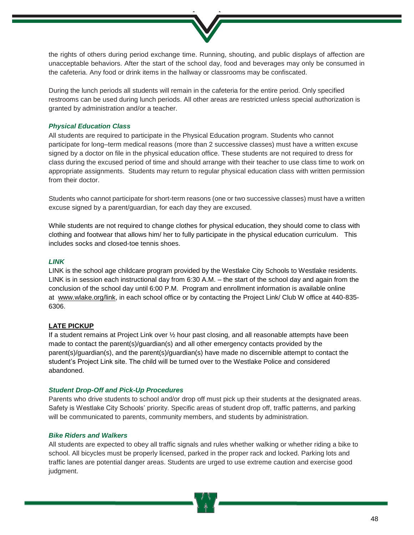the rights of others during period exchange time. Running, shouting, and public displays of affection are unacceptable behaviors. After the start of the school day, food and beverages may only be consumed in the cafeteria. Any food or drink items in the hallway or classrooms may be confiscated.

During the lunch periods all students will remain in the cafeteria for the entire period. Only specified restrooms can be used during lunch periods. All other areas are restricted unless special authorization is granted by administration and/or a teacher.

#### *Physical Education Class*

All students are required to participate in the Physical Education program. Students who cannot participate for long–term medical reasons (more than 2 successive classes) must have a written excuse signed by a doctor on file in the physical education office. These students are not required to dress for class during the excused period of time and should arrange with their teacher to use class time to work on appropriate assignments. Students may return to regular physical education class with written permission from their doctor.

Students who cannot participate for short-term reasons (one or two successive classes) must have a written excuse signed by a parent/guardian, for each day they are excused.

While students are not required to change clothes for physical education, they should come to class with clothing and footwear that allows him/ her to fully participate in the physical education curriculum. This includes socks and closed-toe tennis shoes.

# *LINK*

LINK is the school age childcare program provided by the Westlake City Schools to Westlake residents. LINK is in session each instructional day from 6:30 A.M. – the start of the school day and again from the conclusion of the school day until 6:00 P.M. Program and enrollment information is available online at www.wlake.org/link, in each school office or by contacting the Project Link/ Club W office at 440-835-6306.

# **LATE PICKUP**

If a student remains at Project Link over ½ hour past closing, and all reasonable attempts have been made to contact the parent(s)/guardian(s) and all other emergency contacts provided by the parent(s)/guardian(s), and the parent(s)/guardian(s) have made no discernible attempt to contact the student's Project Link site. The child will be turned over to the Westlake Police and considered abandoned.

#### *Student Drop-Off and Pick-Up Procedures*

Parents who drive students to school and/or drop off must pick up their students at the designated areas. Safety is Westlake City Schools' priority. Specific areas of student drop off, traffic patterns, and parking will be communicated to parents, community members, and students by administration.

#### *Bike Riders and Walkers*

All students are expected to obey all traffic signals and rules whether walking or whether riding a bike to school. All bicycles must be properly licensed, parked in the proper rack and locked. Parking lots and traffic lanes are potential danger areas. Students are urged to use extreme caution and exercise good judgment.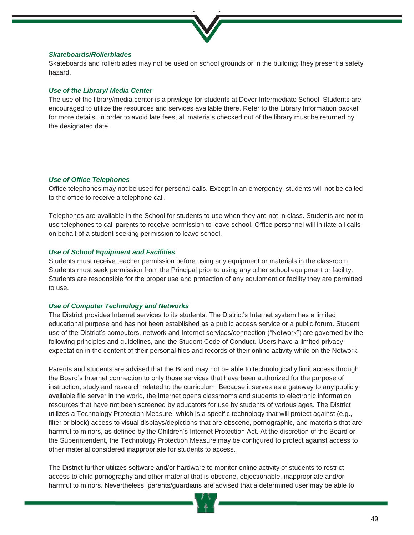

#### *Skateboards/Rollerblades*

Skateboards and rollerblades may not be used on school grounds or in the building; they present a safety hazard.

#### *Use of the Library/ Media Center*

The use of the library/media center is a privilege for students at Dover Intermediate School. Students are encouraged to utilize the resources and services available there. Refer to the Library Information packet for more details. In order to avoid late fees, all materials checked out of the library must be returned by the designated date.

#### *Use of Office Telephones*

Office telephones may not be used for personal calls. Except in an emergency, students will not be called to the office to receive a telephone call.

Telephones are available in the School for students to use when they are not in class. Students are not to use telephones to call parents to receive permission to leave school. Office personnel will initiate all calls on behalf of a student seeking permission to leave school.

#### *Use of School Equipment and Facilities*

Students must receive teacher permission before using any equipment or materials in the classroom. Students must seek permission from the Principal prior to using any other school equipment or facility. Students are responsible for the proper use and protection of any equipment or facility they are permitted to use.

#### *Use of Computer Technology and Networks*

The District provides Internet services to its students. The District's Internet system has a limited educational purpose and has not been established as a public access service or a public forum. Student use of the District's computers, network and Internet services/connection ("Network") are governed by the following principles and guidelines, and the Student Code of Conduct. Users have a limited privacy expectation in the content of their personal files and records of their online activity while on the Network.

Parents and students are advised that the Board may not be able to technologically limit access through the Board's Internet connection to only those services that have been authorized for the purpose of instruction, study and research related to the curriculum. Because it serves as a gateway to any publicly available file server in the world, the Internet opens classrooms and students to electronic information resources that have not been screened by educators for use by students of various ages. The District utilizes a Technology Protection Measure, which is a specific technology that will protect against (e.g., filter or block) access to visual displays/depictions that are obscene, pornographic, and materials that are harmful to minors, as defined by the Children's Internet Protection Act. At the discretion of the Board or the Superintendent, the Technology Protection Measure may be configured to protect against access to other material considered inappropriate for students to access.

The District further utilizes software and/or hardware to monitor online activity of students to restrict access to child pornography and other material that is obscene, objectionable, inappropriate and/or harmful to minors. Nevertheless, parents/guardians are advised that a determined user may be able to

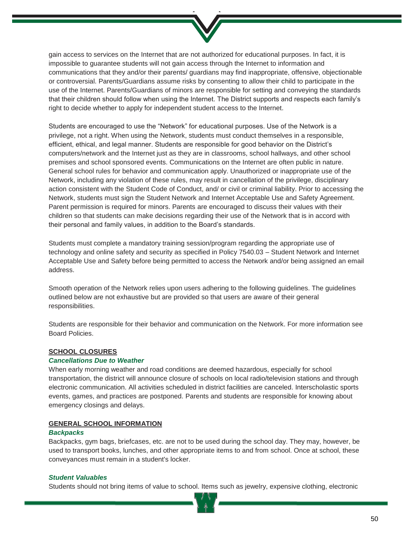

gain access to services on the Internet that are not authorized for educational purposes. In fact, it is impossible to guarantee students will not gain access through the Internet to information and communications that they and/or their parents/ guardians may find inappropriate, offensive, objectionable or controversial. Parents/Guardians assume risks by consenting to allow their child to participate in the use of the Internet. Parents/Guardians of minors are responsible for setting and conveying the standards that their children should follow when using the Internet. The District supports and respects each family's right to decide whether to apply for independent student access to the Internet.

Students are encouraged to use the "Network" for educational purposes. Use of the Network is a privilege, not a right. When using the Network, students must conduct themselves in a responsible, efficient, ethical, and legal manner. Students are responsible for good behavior on the District's computers/network and the Internet just as they are in classrooms, school hallways, and other school premises and school sponsored events. Communications on the Internet are often public in nature. General school rules for behavior and communication apply. Unauthorized or inappropriate use of the Network, including any violation of these rules, may result in cancellation of the privilege, disciplinary action consistent with the Student Code of Conduct, and/ or civil or criminal liability. Prior to accessing the Network, students must sign the Student Network and Internet Acceptable Use and Safety Agreement. Parent permission is required for minors. Parents are encouraged to discuss their values with their children so that students can make decisions regarding their use of the Network that is in accord with their personal and family values, in addition to the Board's standards.

Students must complete a mandatory training session/program regarding the appropriate use of technology and online safety and security as specified in Policy 7540.03 – Student Network and Internet Acceptable Use and Safety before being permitted to access the Network and/or being assigned an email address.

Smooth operation of the Network relies upon users adhering to the following guidelines. The guidelines outlined below are not exhaustive but are provided so that users are aware of their general responsibilities.

Students are responsible for their behavior and communication on the Network. For more information see Board Policies.

# **SCHOOL CLOSURES**

# *Cancellations Due to Weather*

When early morning weather and road conditions are deemed hazardous, especially for school transportation, the district will announce closure of schools on local radio/television stations and through electronic communication. All activities scheduled in district facilities are canceled. Interscholastic sports events, games, and practices are postponed. Parents and students are responsible for knowing about emergency closings and delays.

#### **GENERAL SCHOOL INFORMATION**

#### *Backpacks*

Backpacks, gym bags, briefcases, etc. are not to be used during the school day. They may, however, be used to transport books, lunches, and other appropriate items to and from school. Once at school, these conveyances must remain in a student's locker.

#### *Student Valuables*

Students should not bring items of value to school. Items such as jewelry, expensive clothing, electronic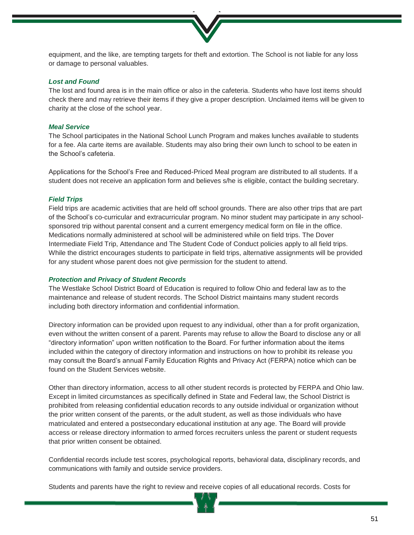equipment, and the like, are tempting targets for theft and extortion. The School is not liable for any loss or damage to personal valuables.

# *Lost and Found*

The lost and found area is in the main office or also in the cafeteria. Students who have lost items should check there and may retrieve their items if they give a proper description. Unclaimed items will be given to charity at the close of the school year.

#### *Meal Service*

The School participates in the National School Lunch Program and makes lunches available to students for a fee. Ala carte items are available. Students may also bring their own lunch to school to be eaten in the School's cafeteria.

Applications for the School's Free and Reduced-Priced Meal program are distributed to all students. If a student does not receive an application form and believes s/he is eligible, contact the building secretary.

#### *Field Trips*

Field trips are academic activities that are held off school grounds. There are also other trips that are part of the School's co-curricular and extracurricular program. No minor student may participate in any schoolsponsored trip without parental consent and a current emergency medical form on file in the office. Medications normally administered at school will be administered while on field trips. The Dover Intermediate Field Trip, Attendance and The Student Code of Conduct policies apply to all field trips. While the district encourages students to participate in field trips, alternative assignments will be provided for any student whose parent does not give permission for the student to attend.

#### *Protection and Privacy of Student Records*

The Westlake School District Board of Education is required to follow Ohio and federal law as to the maintenance and release of student records. The School District maintains many student records including both directory information and confidential information.

Directory information can be provided upon request to any individual, other than a for profit organization, even without the written consent of a parent. Parents may refuse to allow the Board to disclose any or all "directory information" upon written notification to the Board. For further information about the items included within the category of directory information and instructions on how to prohibit its release you may consult the Board's annual Family Education Rights and Privacy Act (FERPA) notice which can be found on the Student Services website.

Other than directory information, access to all other student records is protected by FERPA and Ohio law. Except in limited circumstances as specifically defined in State and Federal law, the School District is prohibited from releasing confidential education records to any outside individual or organization without the prior written consent of the parents, or the adult student, as well as those individuals who have matriculated and entered a postsecondary educational institution at any age. The Board will provide access or release directory information to armed forces recruiters unless the parent or student requests that prior written consent be obtained.

Confidential records include test scores, psychological reports, behavioral data, disciplinary records, and communications with family and outside service providers.

Students and parents have the right to review and receive copies of all educational records. Costs for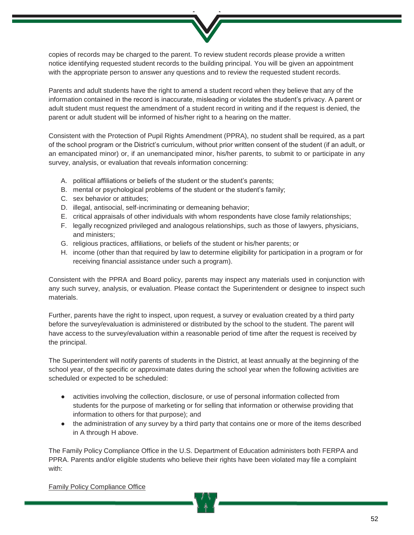copies of records may be charged to the parent. To review student records please provide a written notice identifying requested student records to the building principal. You will be given an appointment with the appropriate person to answer any questions and to review the requested student records.

Parents and adult students have the right to amend a student record when they believe that any of the information contained in the record is inaccurate, misleading or violates the student's privacy. A parent or adult student must request the amendment of a student record in writing and if the request is denied, the parent or adult student will be informed of his/her right to a hearing on the matter.

Consistent with the Protection of Pupil Rights Amendment (PPRA), no student shall be required, as a part of the school program or the District's curriculum, without prior written consent of the student (if an adult, or an emancipated minor) or, if an unemancipated minor, his/her parents, to submit to or participate in any survey, analysis, or evaluation that reveals information concerning:

- A. political affiliations or beliefs of the student or the student's parents;
- B. mental or psychological problems of the student or the student's family;
- C. sex behavior or attitudes;
- D. illegal, antisocial, self-incriminating or demeaning behavior;
- E. critical appraisals of other individuals with whom respondents have close family relationships;
- F. legally recognized privileged and analogous relationships, such as those of lawyers, physicians, and ministers;
- G. religious practices, affiliations, or beliefs of the student or his/her parents; or
- H. income (other than that required by law to determine eligibility for participation in a program or for receiving financial assistance under such a program).

Consistent with the PPRA and Board policy, parents may inspect any materials used in conjunction with any such survey, analysis, or evaluation. Please contact the Superintendent or designee to inspect such materials.

Further, parents have the right to inspect, upon request, a survey or evaluation created by a third party before the survey/evaluation is administered or distributed by the school to the student. The parent will have access to the survey/evaluation within a reasonable period of time after the request is received by the principal.

The Superintendent will notify parents of students in the District, at least annually at the beginning of the school year, of the specific or approximate dates during the school year when the following activities are scheduled or expected to be scheduled:

- activities involving the collection, disclosure, or use of personal information collected from students for the purpose of marketing or for selling that information or otherwise providing that information to others for that purpose); and
- the administration of any survey by a third party that contains one or more of the items described in A through H above.

The Family Policy Compliance Office in the U.S. Department of Education administers both FERPA and PPRA. Parents and/or eligible students who believe their rights have been violated may file a complaint with:

Family Policy Compliance Office